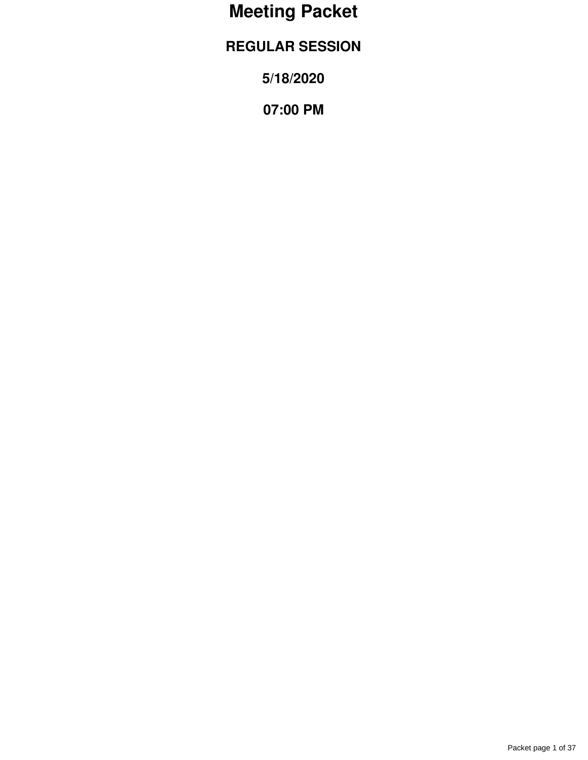# **Meeting Packet**

# **REGULAR SESSION**

**5/18/2020**

**07:00 PM**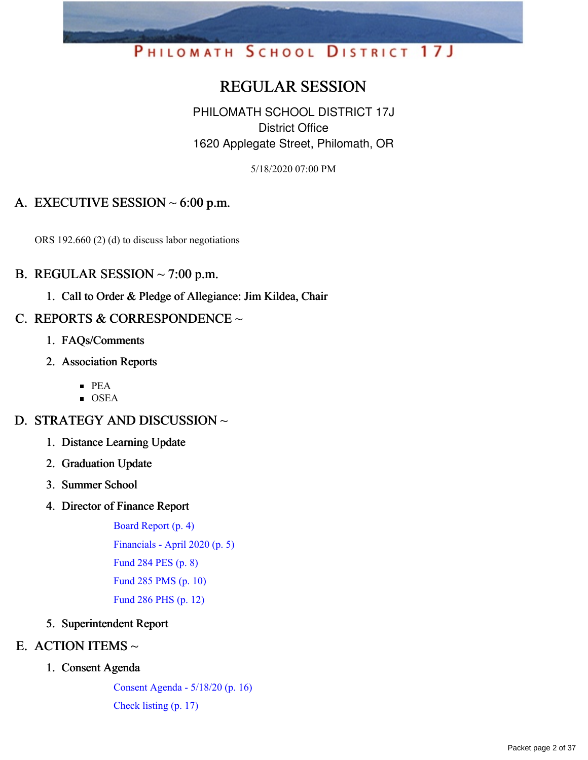# PHILOMATH SCHOOL DISTRICT 17J

# REGULAR SESSION

PHILOMATH SCHOOL DISTRICT 17J District Office 1620 Applegate Street, Philomath, OR

5/18/2020 07:00 PM

# A. EXECUTIVE SESSION  $\sim 6:00$  p.m.

ORS 192.660 (2) (d) to discuss labor negotiations

### B. REGULAR SESSION  $\sim$  7:00 p.m.

1. Call to Order & Pledge of Allegiance: Jim Kildea, Chair

# C. REPORTS & CORRESPONDENCE  $\sim$

- 1. FAQs/Comments
- 2. Association Reports
	- PEA
	- $\blacksquare$  OSEA

# D. STRATEGY AND DISCUSSION ~

- 1. Distance Learning Update
- 2. Graduation Update
- 3. Summer School
- 4. Director of Finance Report

Board [Report](https://app.eduportal.com/documents/view/753373) (p. 4) [Financials](https://app.eduportal.com/documents/view/753149) - April 2020 (p. 5) [Fund](https://app.eduportal.com/documents/view/753144) 284 PES (p. 8) [Fund](https://app.eduportal.com/documents/view/753142) 285 PMS (p. 10) [Fund](https://app.eduportal.com/documents/view/753143) 286 PHS (p. 12)

5. Superintendent Report

# E. ACTION ITEMS  $\sim$

### 1. Consent Agenda

[Consent](https://app.eduportal.com/documents/view/753160) Agenda - 5/18/20 (p. 16) [Check](https://app.eduportal.com/documents/view/753147) listing (p. 17)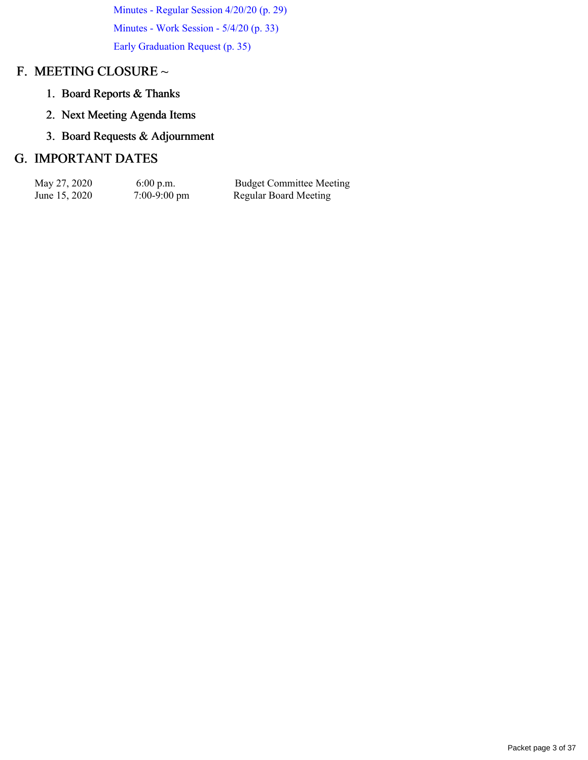[Minutes](https://app.eduportal.com/documents/view/752563) - Regular Session 4/20/20 (p. 29) [Minutes](https://app.eduportal.com/documents/view/752815) - Work Session - 5/4/20 (p. 33) Early [Graduation](https://app.eduportal.com/documents/view/752336) Request (p. 35)

# F. MEETING CLOSURE ~

- 1. Board Reports & Thanks
- 2. Next Meeting Agenda Items
- 3. Board Requests & Adjournment

# G. IMPORTANT DATES

| May 27, 2020  | $6:00$ p.m.            | <b>Budget Committee Meeting</b> |
|---------------|------------------------|---------------------------------|
| June 15, 2020 | $7:00-9:00 \text{ pm}$ | <b>Regular Board Meeting</b>    |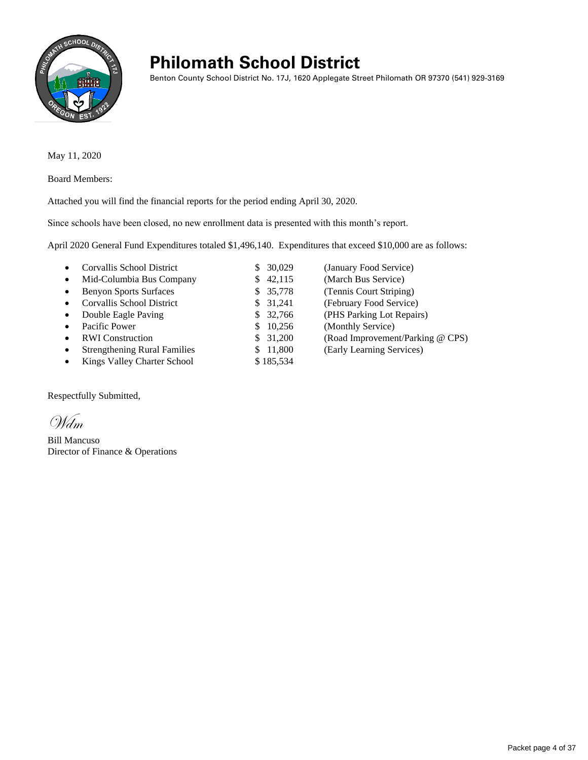

# **Philomath School District**

Benton County School District No. 17J, 1620 Applegate Street Philomath OR 97370 (541) 929-3169

May 11, 2020

Board Members:

Attached you will find the financial reports for the period ending April 30, 2020.

Since schools have been closed, no new enrollment data is presented with this month's report.

April 2020 General Fund Expenditures totaled \$1,496,140. Expenditures that exceed \$10,000 are as follows:

| Corvallis School District<br>٠                   | 30,029       | (January Food Service)           |
|--------------------------------------------------|--------------|----------------------------------|
| Mid-Columbia Bus Company<br>$\bullet$            | \$42,115     | (March Bus Service)              |
| <b>Benyon Sports Surfaces</b><br>$\bullet$       | 35,778<br>S. | (Tennis Court Striping)          |
| Corvallis School District<br>$\bullet$           | \$31,241     | (February Food Service)          |
| Double Eagle Paving<br>$\bullet$                 | 32,766       | (PHS Parking Lot Repairs)        |
| Pacific Power<br>$\bullet$                       | 10,256       | (Monthly Service)                |
| <b>RWI</b> Construction<br>$\bullet$             | 31,200       | (Road Improvement/Parking @ CPS) |
| <b>Strengthening Rural Families</b><br>$\bullet$ | 11,800       | (Early Learning Services)        |
| Kings Valley Charter School<br>٠                 | \$185,534    |                                  |

Respectfully Submitted,

Wdm

Bill Mancuso Director of Finance & Operations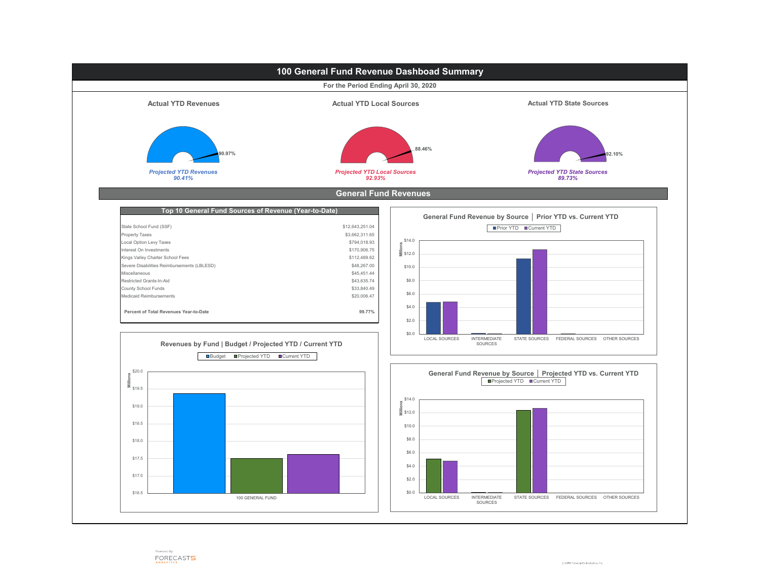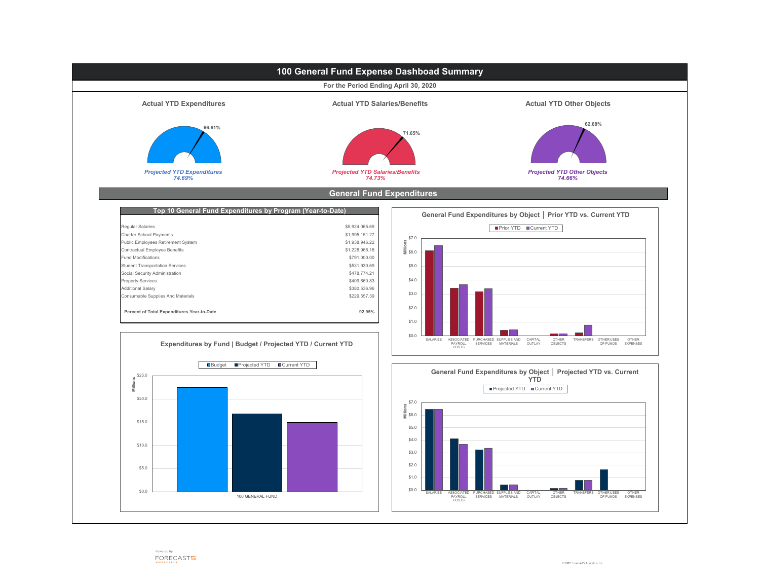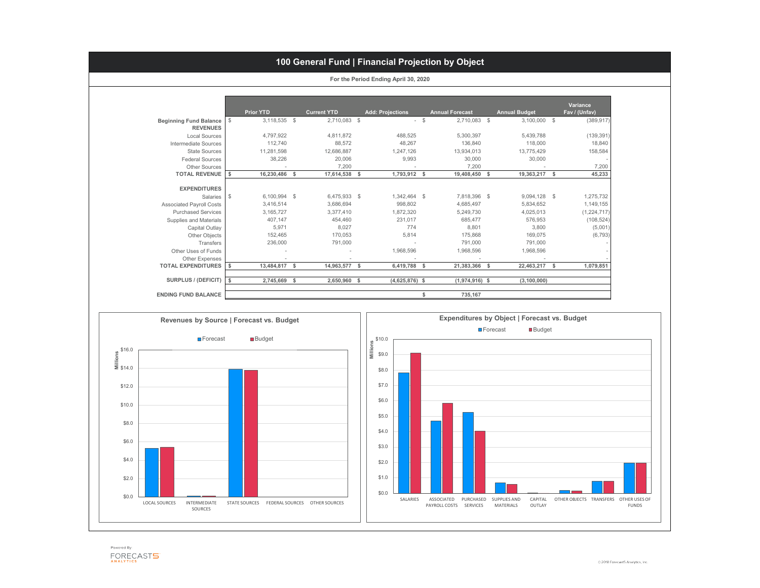|                                 |                           |               |                    |                         |        |                        |                      | <b>Variance</b> |
|---------------------------------|---------------------------|---------------|--------------------|-------------------------|--------|------------------------|----------------------|-----------------|
|                                 |                           | Prior YTD     | <b>Current YTD</b> | <b>Add: Projections</b> |        | <b>Annual Forecast</b> | <b>Annual Budget</b> | Fav / (Unfav)   |
| <b>Beginning Fund Balance</b>   | $\frac{1}{2}$             | 3,118,535 \$  | 2,710,083 \$       |                         | $-$ \$ | 2,710,083 \$           | $3,100,000$ \$       | (389, 917)      |
| <b>REVENUES</b>                 |                           |               |                    |                         |        |                        |                      |                 |
| <b>Local Sources</b>            |                           | 4,797,922     | 4,811,872          | 488,525                 |        | 5,300,397              | 5,439,788            | (139, 391)      |
| <b>Intermediate Sources</b>     |                           | 112,740       | 88,572             | 48,267                  |        | 136,840                | 118,000              | 18,840          |
| <b>State Sources</b>            |                           | 11,281,598    | 12,686,887         | 1,247,126               |        | 13,934,013             | 13,775,429           | 158,584         |
| <b>Federal Sources</b>          |                           | 38,226        | 20,006             | 9,993                   |        | 30,000                 | 30,000               |                 |
| <b>Other Sources</b>            |                           |               | 7,200              |                         |        | 7,200                  |                      | 7,200           |
| <b>TOTAL REVENUE</b>            | $\boldsymbol{\hat{\ast}}$ | 16,230,486 \$ | 17,614,538 \$      | 1,793,912 \$            |        | 19,408,450 \$          | 19,363,217 \$        | 45,233          |
|                                 |                           |               |                    |                         |        |                        |                      |                 |
| <b>EXPENDITURES</b>             |                           |               |                    |                         |        |                        |                      |                 |
| Salaries                        | $\frac{1}{2}$             | 6,100,994 \$  | 6,475,933 \$       | 1,342,464 \$            |        | 7,818,396 \$           | 9,094,128 \$         | 1,275,732       |
| <b>Associated Payroll Costs</b> |                           | 3,416,514     | 3,686,694          | 998,802                 |        | 4,685,497              | 5,834,652            | 1,149,155       |
| <b>Purchased Services</b>       |                           | 3, 165, 727   | 3,377,410          | 1,872,320               |        | 5,249,730              | 4,025,013            | (1,224,717)     |
| <b>Supplies and Materials</b>   |                           | 407,147       | 454,460            | 231,017                 |        | 685,477                | 576,953              | (108, 524)      |
| <b>Capital Outlay</b>           |                           | 5,971         | 8,027              | 774                     |        | 8,801                  | 3,800                | (5,001)         |
| Other Objects                   |                           | 152,465       | 170,053            | 5,814                   |        | 175,868                | 169,075              | (6, 793)        |
| <b>Transfers</b>                |                           | 236,000       | 791,000            |                         |        | 791,000                | 791,000              |                 |
| <b>Other Uses of Funds</b>      |                           |               |                    | 1,968,596               |        | 1,968,596              | 1,968,596            |                 |
| <b>Other Expenses</b>           |                           |               |                    |                         |        |                        |                      |                 |
| <b>TOTAL EXPENDITURES</b>       | \$                        | 13,484,817    | \$<br>14,963,577   | \$<br>6,419,788         | \$     | 21,383,366 \$          | 22,463,217           | \$<br>1,079,851 |
| <b>SURPLUS / (DEFICIT)</b>      |                           |               |                    |                         |        |                        |                      |                 |
|                                 | <b>S</b>                  | 2,745,669     | \$<br>2,650,960 \$ | $(4,625,876)$ \$        |        | $(1,974,916)$ \$       | (3, 100, 000)        |                 |
| <b>ENDING FUND BALANCE</b>      |                           |               |                    |                         |        | 735,167                |                      |                 |

# **100 General Fund | Financial Projection by Object**

**For the Period Ending April 30, 2020**



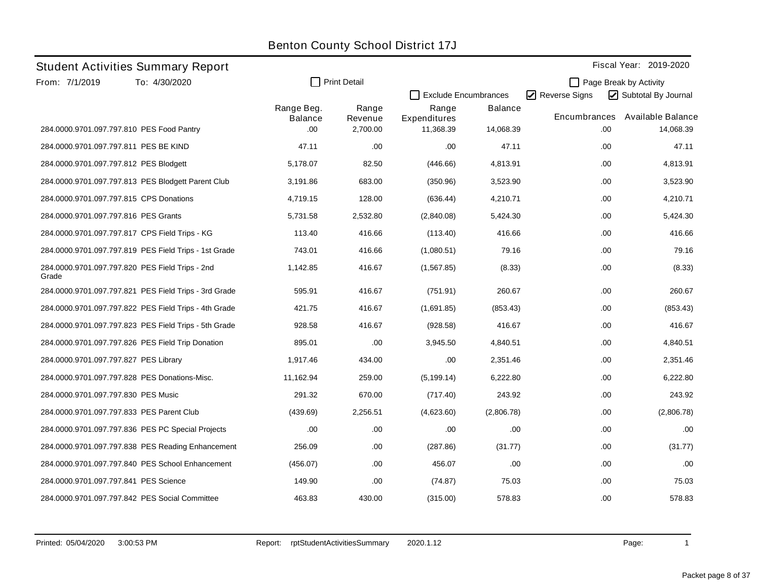|                                           | <b>Student Activities Summary Report</b>              |                       |                     |                       |                             |               |     | Fiscal Year: 2019-2020 |
|-------------------------------------------|-------------------------------------------------------|-----------------------|---------------------|-----------------------|-----------------------------|---------------|-----|------------------------|
| From: 7/1/2019                            | To: 4/30/2020                                         | $\mathsf{L}$          | <b>Print Detail</b> |                       |                             |               |     | Page Break by Activity |
|                                           |                                                       |                       |                     |                       | <b>Exclude Encumbrances</b> | Reverse Signs |     | Subtotal By Journal    |
|                                           |                                                       | Range Beg.<br>Balance | Range<br>Revenue    | Range<br>Expenditures | <b>Balance</b>              | Encumbrances  |     | Available Balance      |
| 284.0000.9701.097.797.810 PES Food Pantry |                                                       | .00                   | 2,700.00            | 11,368.39             | 14,068.39                   |               | .00 | 14,068.39              |
| 284.0000.9701.097.797.811 PES BE KIND     |                                                       | 47.11                 | .00                 | .00                   | 47.11                       |               | .00 | 47.11                  |
| 284.0000.9701.097.797.812 PES Blodgett    |                                                       | 5,178.07              | 82.50               | (446.66)              | 4,813.91                    |               | .00 | 4,813.91               |
|                                           | 284.0000.9701.097.797.813 PES Blodgett Parent Club    | 3,191.86              | 683.00              | (350.96)              | 3,523.90                    |               | .00 | 3,523.90               |
| 284.0000.9701.097.797.815 CPS Donations   |                                                       | 4,719.15              | 128.00              | (636.44)              | 4,210.71                    |               | .00 | 4,210.71               |
| 284.0000.9701.097.797.816 PES Grants      |                                                       | 5,731.58              | 2,532.80            | (2,840.08)            | 5,424.30                    |               | .00 | 5,424.30               |
|                                           | 284.0000.9701.097.797.817 CPS Field Trips - KG        | 113.40                | 416.66              | (113.40)              | 416.66                      |               | .00 | 416.66                 |
|                                           | 284.0000.9701.097.797.819 PES Field Trips - 1st Grade | 743.01                | 416.66              | (1,080.51)            | 79.16                       |               | .00 | 79.16                  |
| Grade                                     | 284.0000.9701.097.797.820 PES Field Trips - 2nd       | 1,142.85              | 416.67              | (1,567.85)            | (8.33)                      |               | .00 | (8.33)                 |
|                                           | 284.0000.9701.097.797.821 PES Field Trips - 3rd Grade | 595.91                | 416.67              | (751.91)              | 260.67                      |               | .00 | 260.67                 |
|                                           | 284.0000.9701.097.797.822 PES Field Trips - 4th Grade | 421.75                | 416.67              | (1,691.85)            | (853.43)                    |               | .00 | (853.43)               |
|                                           | 284.0000.9701.097.797.823 PES Field Trips - 5th Grade | 928.58                | 416.67              | (928.58)              | 416.67                      |               | .00 | 416.67                 |
|                                           | 284.0000.9701.097.797.826 PES Field Trip Donation     | 895.01                | .00                 | 3,945.50              | 4,840.51                    |               | .00 | 4,840.51               |
| 284.0000.9701.097.797.827 PES Library     |                                                       | 1,917.46              | 434.00              | .00                   | 2,351.46                    |               | .00 | 2,351.46               |
|                                           | 284.0000.9701.097.797.828 PES Donations-Misc.         | 11,162.94             | 259.00              | (5, 199.14)           | 6,222.80                    |               | .00 | 6,222.80               |
| 284.0000.9701.097.797.830 PES Music       |                                                       | 291.32                | 670.00              | (717.40)              | 243.92                      |               | .00 | 243.92                 |
| 284.0000.9701.097.797.833 PES Parent Club |                                                       | (439.69)              | 2,256.51            | (4,623.60)            | (2,806.78)                  |               | .00 | (2,806.78)             |
|                                           | 284.0000.9701.097.797.836 PES PC Special Projects     | .00                   | .00                 | .00                   | .00                         |               | .00 | .00                    |
|                                           | 284.0000.9701.097.797.838 PES Reading Enhancement     | 256.09                | .00                 | (287.86)              | (31.77)                     |               | .00 | (31.77)                |
|                                           | 284.0000.9701.097.797.840 PES School Enhancement      | (456.07)              | .00                 | 456.07                | .00                         |               | .00 | .00.                   |
| 284.0000.9701.097.797.841 PES Science     |                                                       | 149.90                | .00                 | (74.87)               | 75.03                       |               | .00 | 75.03                  |
|                                           | 284.0000.9701.097.797.842 PES Social Committee        | 463.83                | 430.00              | (315.00)              | 578.83                      |               | .00 | 578.83                 |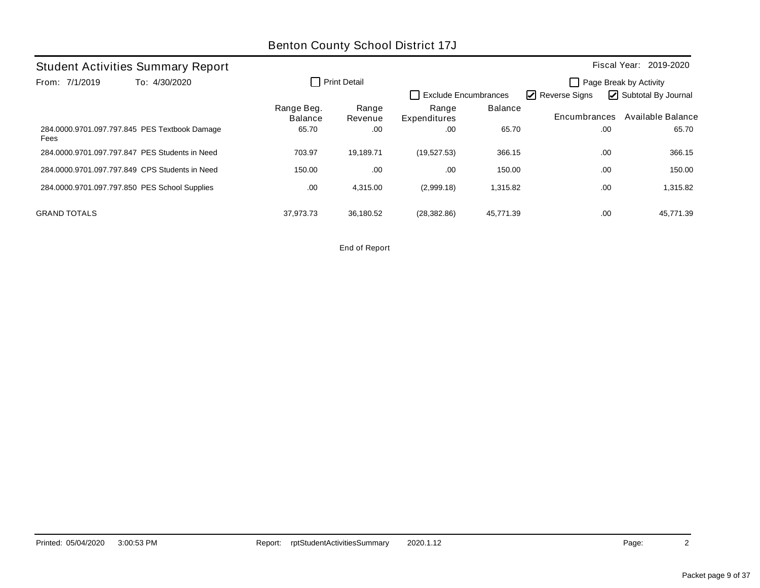| <b>Student Activities Summary Report</b>              |  |                              |                  |                       |                      |                                                                                 | Fiscal Year: 2019-2020 |  |
|-------------------------------------------------------|--|------------------------------|------------------|-----------------------|----------------------|---------------------------------------------------------------------------------|------------------------|--|
| To: 4/30/2020<br>From: 7/1/2019                       |  |                              | Print Detail     |                       | Exclude Encumbrances | Page Break by Activity<br>Subtotal By Journal<br>$\triangleright$ Reverse Signs |                        |  |
|                                                       |  | Range Beg.<br><b>Balance</b> | Range<br>Revenue | Range<br>Expenditures | <b>Balance</b>       | Encumbrances                                                                    | Available Balance      |  |
| 284.0000.9701.097.797.845 PES Textbook Damage<br>Fees |  | 65.70                        | .00              | .00                   | 65.70                |                                                                                 | 65.70<br>.00           |  |
| 284,0000,9701,097,797,847 PES Students in Need        |  | 703.97                       | 19.189.71        | (19,527.53)           | 366.15               |                                                                                 | .00<br>366.15          |  |
| 284.0000.9701.097.797.849 CPS Students in Need        |  | 150.00                       | .00              | .00                   | 150.00               |                                                                                 | .00<br>150.00          |  |
| 284.0000.9701.097.797.850 PES School Supplies         |  | .00                          | 4.315.00         | (2,999.18)            | 1,315.82             |                                                                                 | 1,315.82<br>.00        |  |
| <b>GRAND TOTALS</b>                                   |  | 37.973.73                    | 36,180.52        | (28, 382.86)          | 45.771.39            |                                                                                 | 45.771.39<br>.00       |  |

End of Report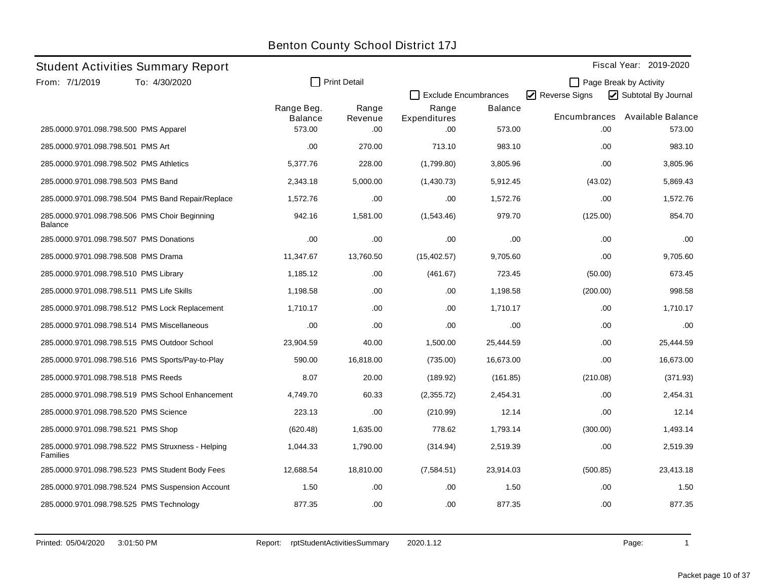|                                             | <b>Student Activities Summary Report</b>          |                              |                     |                       |                             |               | Fiscal Year: 2019-2020 |
|---------------------------------------------|---------------------------------------------------|------------------------------|---------------------|-----------------------|-----------------------------|---------------|------------------------|
| From: 7/1/2019                              | To: 4/30/2020                                     |                              | <b>Print Detail</b> |                       |                             |               | Page Break by Activity |
|                                             |                                                   |                              |                     |                       | <b>Exclude Encumbrances</b> | Reverse Signs | Subtotal By Journal    |
|                                             |                                                   | Range Beg.<br><b>Balance</b> | Range<br>Revenue    | Range<br>Expenditures | <b>Balance</b>              | Encumbrances  | Available Balance      |
| 285.0000.9701.098.798.500 PMS Apparel       |                                                   | 573.00                       | .00                 | .00                   | 573.00                      | .00           | 573.00                 |
| 285.0000.9701.098.798.501 PMS Art           |                                                   | .00                          | 270.00              | 713.10                | 983.10                      | .00           | 983.10                 |
| 285.0000.9701.098.798.502 PMS Athletics     |                                                   | 5,377.76                     | 228.00              | (1,799.80)            | 3,805.96                    | .00           | 3,805.96               |
| 285.0000.9701.098.798.503 PMS Band          |                                                   | 2,343.18                     | 5,000.00            | (1,430.73)            | 5,912.45                    | (43.02)       | 5,869.43               |
|                                             | 285.0000.9701.098.798.504 PMS Band Repair/Replace | 1,572.76                     | .00                 | .00                   | 1,572.76                    | .00           | 1,572.76               |
| <b>Balance</b>                              | 285.0000.9701.098.798.506 PMS Choir Beginning     | 942.16                       | 1,581.00            | (1,543.46)            | 979.70                      | (125.00)      | 854.70                 |
| 285.0000.9701.098.798.507 PMS Donations     |                                                   | .00                          | .00                 | .00                   | .00                         | .00           | .00                    |
| 285.0000.9701.098.798.508 PMS Drama         |                                                   | 11,347.67                    | 13,760.50           | (15, 402.57)          | 9,705.60                    | .00           | 9,705.60               |
| 285.0000.9701.098.798.510 PMS Library       |                                                   | 1,185.12                     | .00                 | (461.67)              | 723.45                      | (50.00)       | 673.45                 |
| 285.0000.9701.098.798.511 PMS Life Skills   |                                                   | 1,198.58                     | .00                 | .00                   | 1,198.58                    | (200.00)      | 998.58                 |
|                                             | 285.0000.9701.098.798.512 PMS Lock Replacement    | 1,710.17                     | .00                 | .00                   | 1,710.17                    | .00           | 1,710.17               |
| 285.0000.9701.098.798.514 PMS Miscellaneous |                                                   | .00                          | .00                 | .00                   | .00                         | .00           | .00.                   |
|                                             | 285.0000.9701.098.798.515 PMS Outdoor School      | 23,904.59                    | 40.00               | 1,500.00              | 25,444.59                   | .00           | 25,444.59              |
|                                             | 285.0000.9701.098.798.516 PMS Sports/Pay-to-Play  | 590.00                       | 16,818.00           | (735.00)              | 16.673.00                   | .00           | 16,673.00              |
| 285.0000.9701.098.798.518 PMS Reeds         |                                                   | 8.07                         | 20.00               | (189.92)              | (161.85)                    | (210.08)      | (371.93)               |
|                                             | 285.0000.9701.098.798.519 PMS School Enhancement  | 4,749.70                     | 60.33               | (2,355.72)            | 2,454.31                    | .00           | 2,454.31               |
| 285.0000.9701.098.798.520 PMS Science       |                                                   | 223.13                       | .00                 | (210.99)              | 12.14                       | .00           | 12.14                  |
| 285.0000.9701.098.798.521 PMS Shop          |                                                   | (620.48)                     | 1,635.00            | 778.62                | 1,793.14                    | (300.00)      | 1,493.14               |
| Families                                    | 285.0000.9701.098.798.522 PMS Struxness - Helping | 1,044.33                     | 1,790.00            | (314.94)              | 2,519.39                    | .00           | 2,519.39               |
|                                             | 285.0000.9701.098.798.523 PMS Student Body Fees   | 12,688.54                    | 18,810.00           | (7,584.51)            | 23,914.03                   | (500.85)      | 23,413.18              |
|                                             | 285.0000.9701.098.798.524 PMS Suspension Account  | 1.50                         | .00                 | .00                   | 1.50                        | .00           | 1.50                   |
| 285.0000.9701.098.798.525 PMS Technology    |                                                   | 877.35                       | .00                 | .00                   | 877.35                      | .00           | 877.35                 |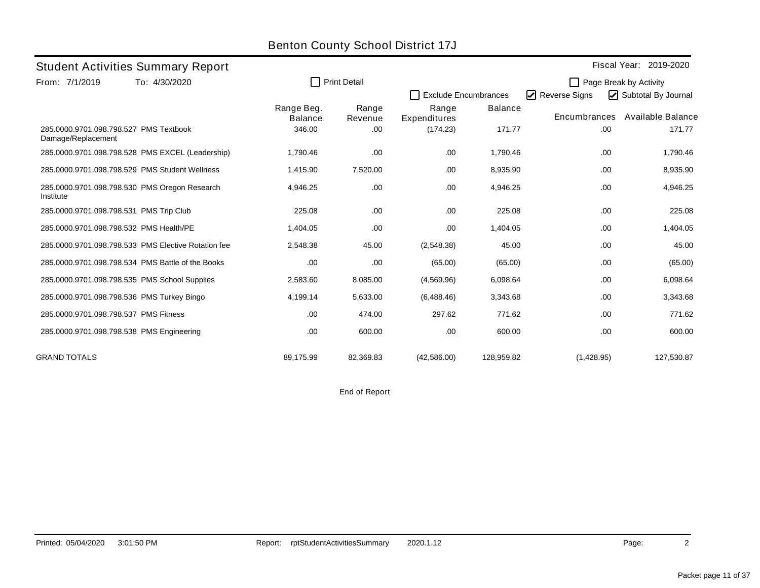|                                                              |                                                     |                              |                     | <b>Benton County School District 17J</b> |                |               |                        |  |
|--------------------------------------------------------------|-----------------------------------------------------|------------------------------|---------------------|------------------------------------------|----------------|---------------|------------------------|--|
|                                                              | <b>Student Activities Summary Report</b>            |                              |                     |                                          |                |               | Fiscal Year: 2019-2020 |  |
| From: 7/1/2019                                               | To: 4/30/2020                                       |                              | <b>Print Detail</b> |                                          |                |               | Page Break by Activity |  |
|                                                              |                                                     |                              |                     | <b>Exclude Encumbrances</b>              |                | Reverse Signs | Subtotal By Journal    |  |
|                                                              |                                                     | Range Beg.<br><b>Balance</b> | Range<br>Revenue    | Range<br>Expenditures                    | <b>Balance</b> | Encumbrances  | Available Balance      |  |
| 285.0000.9701.098.798.527 PMS Textbook<br>Damage/Replacement |                                                     | 346.00                       | .00.                | (174.23)                                 | 171.77         | .00.          | 171.77                 |  |
|                                                              | 285.0000.9701.098.798.528 PMS EXCEL (Leadership)    | 1,790.46                     | .00.                | .00.                                     | 1,790.46       | .00.          | 1,790.46               |  |
|                                                              | 285.0000.9701.098.798.529 PMS Student Wellness      | 1,415.90                     | 7,520.00            | .00.                                     | 8,935.90       | .00           | 8,935.90               |  |
| Institute                                                    | 285.0000.9701.098.798.530 PMS Oregon Research       | 4,946.25                     | .00.                | .00.                                     | 4,946.25       | .00           | 4,946.25               |  |
| 285.0000.9701.098.798.531 PMS Trip Club                      |                                                     | 225.08                       | .00                 | .00.                                     | 225.08         | .00.          | 225.08                 |  |
| 285.0000.9701.098.798.532 PMS Health/PE                      |                                                     | 1,404.05                     | .00                 | .00.                                     | 1,404.05       | .00.          | 1,404.05               |  |
|                                                              | 285,0000,9701,098,798,533 PMS Elective Rotation fee | 2,548.38                     | 45.00               | (2,548.38)                               | 45.00          | .00.          | 45.00                  |  |
|                                                              | 285,0000,9701,098,798,534 PMS Battle of the Books   | .00                          | .00.                | (65.00)                                  | (65.00)        | .00.          | (65.00)                |  |
|                                                              | 285.0000.9701.098.798.535 PMS School Supplies       | 2,583.60                     | 8,085.00            | (4,569.96)                               | 6,098.64       | .00.          | 6,098.64               |  |
|                                                              | 285.0000.9701.098.798.536 PMS Turkey Bingo          | 4,199.14                     | 5,633.00            | (6,488.46)                               | 3,343.68       | .00.          | 3,343.68               |  |
| 285.0000.9701.098.798.537 PMS Fitness                        |                                                     | .00.                         | 474.00              | 297.62                                   | 771.62         | .00.          | 771.62                 |  |
|                                                              | 285.0000.9701.098.798.538 PMS Engineering           | .00                          | 600.00              | .00.                                     | 600.00         | .00.          | 600.00                 |  |
| <b>GRAND TOTALS</b>                                          |                                                     | 89.175.99                    | 82.369.83           | (42,586.00)                              | 128.959.82     | (1,428.95)    | 127.530.87             |  |

End of Report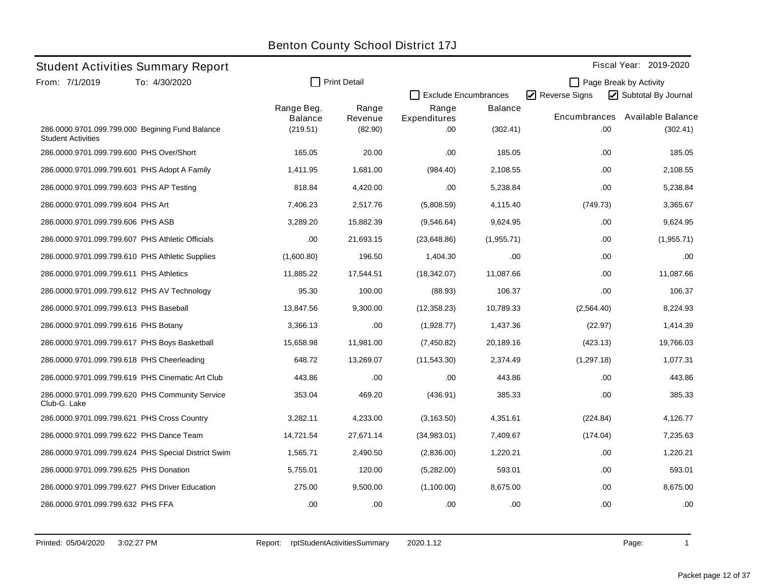|                                          |                                                     |                                          |                             | <b>Benton County School District 17J</b> |                            |                     |                                               |
|------------------------------------------|-----------------------------------------------------|------------------------------------------|-----------------------------|------------------------------------------|----------------------------|---------------------|-----------------------------------------------|
|                                          | <b>Student Activities Summary Report</b>            |                                          |                             |                                          |                            |                     | Fiscal Year: 2019-2020                        |
| From: 7/1/2019                           | To: 4/30/2020                                       | П                                        | <b>Print Detail</b>         | <b>Exclude Encumbrances</b>              |                            | Reverse Signs       | Page Break by Activity<br>Subtotal By Journal |
| <b>Student Activities</b>                | 286.0000.9701.099.799.000 Begining Fund Balance     | Range Beg.<br><b>Balance</b><br>(219.51) | Range<br>Revenue<br>(82.90) | Range<br>Expenditures<br>.00             | <b>Balance</b><br>(302.41) | Encumbrances<br>.00 | Available Balance<br>(302.41)                 |
| 286.0000.9701.099.799.600 PHS Over/Short |                                                     | 165.05                                   | 20.00                       | .00.                                     | 185.05                     | .00                 | 185.05                                        |
|                                          | 286.0000.9701.099.799.601 PHS Adopt A Family        | 1,411.95                                 | 1,681.00                    | (984.40)                                 | 2,108.55                   | .00                 | 2,108.55                                      |
| 286.0000.9701.099.799.603 PHS AP Testing |                                                     | 818.84                                   | 4,420.00                    | .00                                      | 5,238.84                   | .00                 | 5,238.84                                      |
| 286.0000.9701.099.799.604 PHS Art        |                                                     | 7,406.23                                 | 2,517.76                    | (5,808.59)                               | 4,115.40                   | (749.73)            | 3,365.67                                      |
| 286.0000.9701.099.799.606 PHS ASB        |                                                     | 3,289.20                                 | 15,882.39                   | (9,546.64)                               | 9,624.95                   | .00                 | 9,624.95                                      |
|                                          | 286.0000.9701.099.799.607 PHS Athletic Officials    | .00                                      | 21,693.15                   | (23, 648.86)                             | (1,955.71)                 | .00                 | (1,955.71)                                    |
|                                          | 286.0000.9701.099.799.610 PHS Athletic Supplies     | (1,600.80)                               | 196.50                      | 1,404.30                                 | .00                        | .00                 | .00                                           |
| 286.0000.9701.099.799.611 PHS Athletics  |                                                     | 11,885.22                                | 17,544.51                   | (18, 342.07)                             | 11,087.66                  | .00                 | 11,087.66                                     |
|                                          | 286.0000.9701.099.799.612 PHS AV Technology         | 95.30                                    | 100.00                      | (88.93)                                  | 106.37                     | .00                 | 106.37                                        |
| 286.0000.9701.099.799.613 PHS Baseball   |                                                     | 13,847.56                                | 9,300.00                    | (12,358.23)                              | 10,789.33                  | (2,564.40)          | 8.224.93                                      |
| 286.0000.9701.099.799.616 PHS Botany     |                                                     | 3,366.13                                 | .00                         | (1,928.77)                               | 1,437.36                   | (22.97)             | 1,414.39                                      |
|                                          | 286.0000.9701.099.799.617 PHS Boys Basketball       | 15,658.98                                | 11,981.00                   | (7,450.82)                               | 20,189.16                  | (423.13)            | 19,766.03                                     |
|                                          | 286.0000.9701.099.799.618 PHS Cheerleading          | 648.72                                   | 13,269.07                   | (11, 543.30)                             | 2,374.49                   | (1,297.18)          | 1.077.31                                      |
|                                          | 286.0000.9701.099.799.619 PHS Cinematic Art Club    | 443.86                                   | .00                         | .00                                      | 443.86                     | .00                 | 443.86                                        |
| Club-G. Lake                             | 286.0000.9701.099.799.620 PHS Community Service     | 353.04                                   | 469.20                      | (436.91)                                 | 385.33                     | .00                 | 385.33                                        |
|                                          | 286.0000.9701.099.799.621 PHS Cross Country         | 3,282.11                                 | 4,233.00                    | (3, 163.50)                              | 4,351.61                   | (224.84)            | 4,126.77                                      |
|                                          | 286.0000.9701.099.799.622 PHS Dance Team            | 14,721.54                                | 27,671.14                   | (34,983.01)                              | 7,409.67                   | (174.04)            | 7,235.63                                      |
|                                          | 286.0000.9701.099.799.624 PHS Special District Swim | 1,565.71                                 | 2,490.50                    | (2,836.00)                               | 1,220.21                   | .00                 | 1,220.21                                      |
| 286.0000.9701.099.799.625 PHS Donation   |                                                     | 5,755.01                                 | 120.00                      | (5,282.00)                               | 593.01                     | .00                 | 593.01                                        |
|                                          | 286.0000.9701.099.799.627 PHS Driver Education      | 275.00                                   | 9,500.00                    | (1,100.00)                               | 8,675.00                   | .00                 | 8,675.00                                      |
| 286.0000.9701.099.799.632 PHS FFA        |                                                     | .00                                      | .00                         | .00                                      | .00                        | .00                 | .00                                           |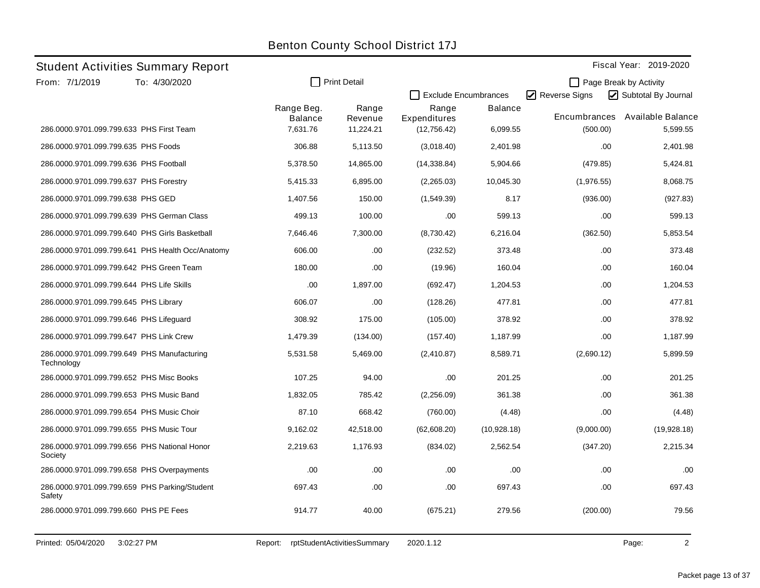|                                           | <b>Student Activities Summary Report</b>         |                              |                     |                       |                             |               | Fiscal Year: 2019-2020 |
|-------------------------------------------|--------------------------------------------------|------------------------------|---------------------|-----------------------|-----------------------------|---------------|------------------------|
| From: 7/1/2019                            | To: 4/30/2020                                    |                              | <b>Print Detail</b> |                       |                             |               | Page Break by Activity |
|                                           |                                                  |                              |                     |                       | <b>Exclude Encumbrances</b> | Reverse Signs | Subtotal By Journal    |
|                                           |                                                  | Range Beg.<br><b>Balance</b> | Range<br>Revenue    | Range<br>Expenditures | <b>Balance</b>              | Encumbrances  | Available Balance      |
|                                           | 286.0000.9701.099.799.633 PHS First Team         | 7,631.76                     | 11,224.21           | (12,756.42)           | 6,099.55                    | (500.00)      | 5,599.55               |
| 286.0000.9701.099.799.635 PHS Foods       |                                                  | 306.88                       | 5,113.50            | (3,018.40)            | 2,401.98                    | .00           | 2,401.98               |
| 286.0000.9701.099.799.636 PHS Football    |                                                  | 5,378.50                     | 14,865.00           | (14, 338.84)          | 5,904.66                    | (479.85)      | 5,424.81               |
| 286.0000.9701.099.799.637 PHS Forestry    |                                                  | 5.415.33                     | 6,895.00            | (2,265.03)            | 10,045.30                   | (1,976.55)    | 8,068.75               |
| 286.0000.9701.099.799.638 PHS GED         |                                                  | 1,407.56                     | 150.00              | (1,549.39)            | 8.17                        | (936.00)      | (927.83)               |
|                                           | 286.0000.9701.099.799.639 PHS German Class       | 499.13                       | 100.00              | .00                   | 599.13                      | .00           | 599.13                 |
|                                           | 286.0000.9701.099.799.640 PHS Girls Basketball   | 7,646.46                     | 7,300.00            | (8,730.42)            | 6,216.04                    | (362.50)      | 5,853.54               |
|                                           | 286.0000.9701.099.799.641 PHS Health Occ/Anatomy | 606.00                       | .00                 | (232.52)              | 373.48                      | .00           | 373.48                 |
|                                           | 286.0000.9701.099.799.642 PHS Green Team         | 180.00                       | .00                 | (19.96)               | 160.04                      | .00           | 160.04                 |
| 286.0000.9701.099.799.644 PHS Life Skills |                                                  | .00                          | 1,897.00            | (692.47)              | 1,204.53                    | .00           | 1,204.53               |
| 286.0000.9701.099.799.645 PHS Library     |                                                  | 606.07                       | .00                 | (128.26)              | 477.81                      | .00           | 477.81                 |
| 286.0000.9701.099.799.646 PHS Lifeguard   |                                                  | 308.92                       | 175.00              | (105.00)              | 378.92                      | .00           | 378.92                 |
| 286.0000.9701.099.799.647 PHS Link Crew   |                                                  | 1,479.39                     | (134.00)            | (157.40)              | 1,187.99                    | .00           | 1,187.99               |
| Technology                                | 286.0000.9701.099.799.649 PHS Manufacturing      | 5,531.58                     | 5,469.00            | (2,410.87)            | 8,589.71                    | (2,690.12)    | 5,899.59               |
|                                           | 286.0000.9701.099.799.652 PHS Misc Books         | 107.25                       | 94.00               | .00                   | 201.25                      | .00           | 201.25                 |
|                                           | 286.0000.9701.099.799.653 PHS Music Band         | 1,832.05                     | 785.42              | (2,256.09)            | 361.38                      | .00           | 361.38                 |
|                                           | 286.0000.9701.099.799.654 PHS Music Choir        | 87.10                        | 668.42              | (760.00)              | (4.48)                      | .00           | (4.48)                 |
|                                           | 286.0000.9701.099.799.655 PHS Music Tour         | 9,162.02                     | 42,518.00           | (62,608.20)           | (10,928.18)                 | (9,000.00)    | (19,928.18)            |
| Society                                   | 286.0000.9701.099.799.656 PHS National Honor     | 2,219.63                     | 1,176.93            | (834.02)              | 2,562.54                    | (347.20)      | 2,215.34               |
|                                           | 286.0000.9701.099.799.658 PHS Overpayments       | .00                          | .00                 | .00                   | .00                         | .00           | .00                    |
| Safety                                    | 286.0000.9701.099.799.659 PHS Parking/Student    | 697.43                       | .00                 | .00.                  | 697.43                      | .00           | 697.43                 |
| 286.0000.9701.099.799.660 PHS PE Fees     |                                                  | 914.77                       | 40.00               | (675.21)              | 279.56                      | (200.00)      | 79.56                  |
|                                           |                                                  |                              |                     |                       |                             |               |                        |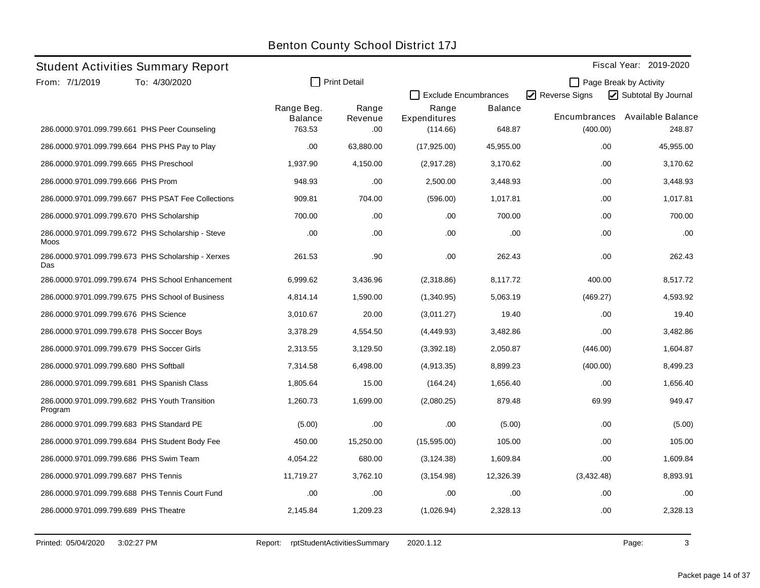|                                           | <b>Student Activities Summary Report</b>           |                       |                     |                       |                             |               | Fiscal Year: 2019-2020 |
|-------------------------------------------|----------------------------------------------------|-----------------------|---------------------|-----------------------|-----------------------------|---------------|------------------------|
| From: 7/1/2019                            | To: 4/30/2020                                      |                       | <b>Print Detail</b> |                       |                             |               | Page Break by Activity |
|                                           |                                                    |                       |                     |                       | <b>Exclude Encumbrances</b> | Reverse Signs | Subtotal By Journal    |
|                                           |                                                    | Range Beg.<br>Balance | Range<br>Revenue    | Range<br>Expenditures | <b>Balance</b>              | Encumbrances  | Available Balance      |
|                                           | 286.0000.9701.099.799.661 PHS Peer Counseling      | 763.53                | .00                 | (114.66)              | 648.87                      | (400.00)      | 248.87                 |
|                                           | 286.0000.9701.099.799.664 PHS PHS Pay to Play      | .00                   | 63,880.00           | (17,925.00)           | 45,955.00                   | .00           | 45,955.00              |
| 286.0000.9701.099.799.665 PHS Preschool   |                                                    | 1,937.90              | 4,150.00            | (2,917.28)            | 3,170.62                    | .00           | 3,170.62               |
| 286.0000.9701.099.799.666 PHS Prom        |                                                    | 948.93                | .00.                | 2,500.00              | 3,448.93                    | .00.          | 3,448.93               |
|                                           | 286.0000.9701.099.799.667 PHS PSAT Fee Collections | 909.81                | 704.00              | (596.00)              | 1,017.81                    | .00           | 1,017.81               |
| 286.0000.9701.099.799.670 PHS Scholarship |                                                    | 700.00                | .00.                | .00                   | 700.00                      | .00           | 700.00                 |
| Moos                                      | 286.0000.9701.099.799.672 PHS Scholarship - Steve  | .00                   | .00                 | .00                   | .00                         | .00           | .00                    |
| Das                                       | 286.0000.9701.099.799.673 PHS Scholarship - Xerxes | 261.53                | .90                 | .00                   | 262.43                      | .00           | 262.43                 |
|                                           | 286.0000.9701.099.799.674 PHS School Enhancement   | 6,999.62              | 3,436.96            | (2,318.86)            | 8,117.72                    | 400.00        | 8,517.72               |
|                                           | 286,0000.9701.099.799.675 PHS School of Business   | 4.814.14              | 1,590.00            | (1,340.95)            | 5,063.19                    | (469.27)      | 4,593.92               |
| 286.0000.9701.099.799.676 PHS Science     |                                                    | 3,010.67              | 20.00               | (3,011.27)            | 19.40                       | .00           | 19.40                  |
|                                           | 286.0000.9701.099.799.678 PHS Soccer Boys          | 3,378.29              | 4,554.50            | (4, 449.93)           | 3,482.86                    | .00.          | 3,482.86               |
|                                           | 286.0000.9701.099.799.679 PHS Soccer Girls         | 2,313.55              | 3,129.50            | (3,392.18)            | 2,050.87                    | (446.00)      | 1,604.87               |
| 286.0000.9701.099.799.680 PHS Softball    |                                                    | 7,314.58              | 6,498.00            | (4,913.35)            | 8,899.23                    | (400.00)      | 8,499.23               |
|                                           | 286.0000.9701.099.799.681 PHS Spanish Class        | 1,805.64              | 15.00               | (164.24)              | 1,656.40                    | .00.          | 1,656.40               |
| Program                                   | 286.0000.9701.099.799.682 PHS Youth Transition     | 1,260.73              | 1,699.00            | (2,080.25)            | 879.48                      | 69.99         | 949.47                 |
|                                           | 286.0000.9701.099.799.683 PHS Standard PE          | (5.00)                | .00                 | .00                   | (5.00)                      | .00           | (5.00)                 |
|                                           | 286.0000.9701.099.799.684 PHS Student Body Fee     | 450.00                | 15,250.00           | (15,595.00)           | 105.00                      | .00           | 105.00                 |
| 286.0000.9701.099.799.686 PHS Swim Team   |                                                    | 4.054.22              | 680.00              | (3, 124.38)           | 1,609.84                    | .00.          | 1,609.84               |
| 286.0000.9701.099.799.687 PHS Tennis      |                                                    | 11,719.27             | 3,762.10            | (3, 154.98)           | 12,326.39                   | (3,432.48)    | 8,893.91               |
|                                           | 286.0000.9701.099.799.688 PHS Tennis Court Fund    | .00                   | .00.                | .00                   | .00                         | .00           | .00                    |
| 286.0000.9701.099.799.689 PHS Theatre     |                                                    | 2,145.84              | 1,209.23            | (1,026.94)            | 2,328.13                    | .00           | 2,328.13               |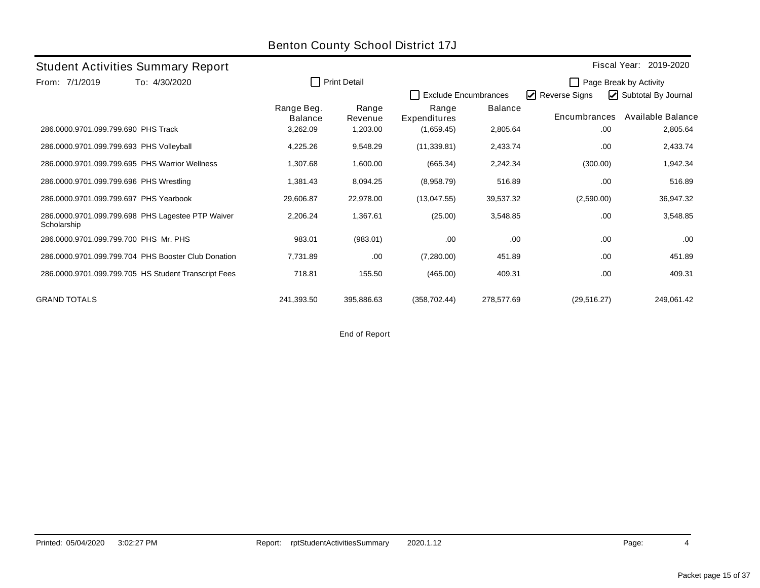|                                          | <b>Student Activities Summary Report</b>             |                              |                     |                             |                |               | Fiscal Year: 2019-2020 |
|------------------------------------------|------------------------------------------------------|------------------------------|---------------------|-----------------------------|----------------|---------------|------------------------|
| From: 7/1/2019                           | To: 4/30/2020                                        | l.                           | <b>Print Detail</b> |                             |                |               | Page Break by Activity |
|                                          |                                                      |                              |                     | <b>Exclude Encumbrances</b> |                | Reverse Signs | Subtotal By Journal    |
|                                          |                                                      | Range Beg.<br><b>Balance</b> | Range<br>Revenue    | Range<br>Expenditures       | <b>Balance</b> | Encumbrances  | Available Balance      |
| 286.0000.9701.099.799.690 PHS Track      |                                                      | 3,262.09                     | 1,203.00            | (1,659.45)                  | 2,805.64       | .00           | 2,805.64               |
| 286.0000.9701.099.799.693 PHS Volleyball |                                                      | 4,225.26                     | 9,548.29            | (11, 339.81)                | 2,433.74       | .00           | 2,433.74               |
|                                          | 286,0000,9701,099,799,695 PHS Warrior Wellness       | 1,307.68                     | 1,600.00            | (665.34)                    | 2,242.34       | (300.00)      | 1,942.34               |
| 286.0000.9701.099.799.696 PHS Wrestling  |                                                      | 1,381.43                     | 8,094.25            | (8,958.79)                  | 516.89         | .00           | 516.89                 |
| 286.0000.9701.099.799.697 PHS Yearbook   |                                                      | 29,606.87                    | 22,978.00           | (13,047.55)                 | 39,537.32      | (2,590.00)    | 36,947.32              |
| Scholarship                              | 286.0000.9701.099.799.698 PHS Lagestee PTP Waiver    | 2,206.24                     | 1,367.61            | (25.00)                     | 3,548.85       | .00           | 3,548.85               |
| 286.0000.9701.099.799.700 PHS Mr. PHS    |                                                      | 983.01                       | (983.01)            | .00.                        | .00.           | .00           | .00                    |
|                                          | 286.0000.9701.099.799.704 PHS Booster Club Donation  | 7,731.89                     | .00.                | (7,280.00)                  | 451.89         | .00           | 451.89                 |
|                                          | 286.0000.9701.099.799.705 HS Student Transcript Fees | 718.81                       | 155.50              | (465.00)                    | 409.31         | .00           | 409.31                 |
| <b>GRAND TOTALS</b>                      |                                                      | 241,393.50                   | 395,886.63          | (358, 702.44)               | 278,577.69     | (29, 516.27)  | 249,061.42             |

End of Report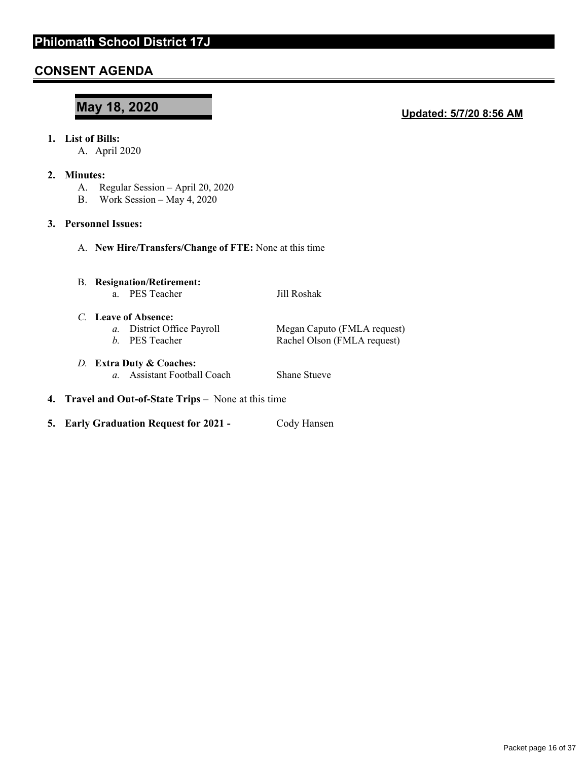# **CONSENT AGENDA**

# **May 18, 2020**

#### **Updated: 5/7/20 8:56 AM**

#### **1. List of Bills:**

A. April 2020

#### **2. Minutes:**

- A. Regular Session April 20, 2020
- B. Work Session May 4, 2020

#### **3. Personnel Issues:**

A. **New Hire/Transfers/Change of FTE:** None at this time

# B. **Resignation/Retirement:**

a. PES Teacher Jill Roshak

*C.* **Leave of Absence: Megan Caputo (FMLA request)** *b.* PES Teacher Rachel Olson (FMLA request)

#### *D.* **Extra Duty & Coaches:**  *a.* Assistant Football Coach Shane Stueve

- **4. Travel and Out-of-State Trips** None at this time
- **5. Early Graduation Request for 2021 Cody Hansen**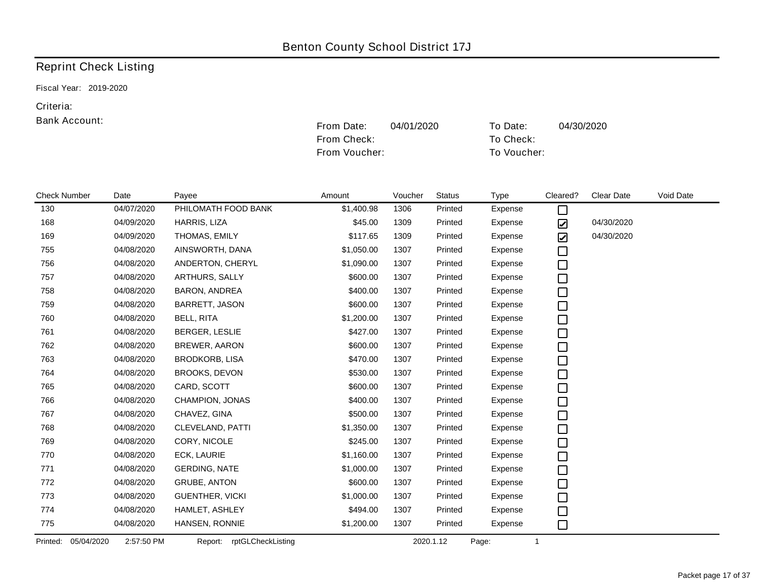From Check: To Check:

# Reprint Check Listing

Fiscal Year: 2019-2020

#### Criteria:

|                     |                          |                           | From Voucher: |         |               |             | To Voucher:                  |            |           |  |  |
|---------------------|--------------------------|---------------------------|---------------|---------|---------------|-------------|------------------------------|------------|-----------|--|--|
|                     |                          |                           |               |         |               |             |                              |            |           |  |  |
| <b>Check Number</b> | Date                     | Payee                     | Amount        | Voucher | <b>Status</b> | <b>Type</b> | Cleared?                     | Clear Date | Void Date |  |  |
| 130                 | 04/07/2020               | PHILOMATH FOOD BANK       | \$1,400.98    | 1306    | Printed       | Expense     | $\Box$                       |            |           |  |  |
| 168                 | 04/09/2020               | HARRIS, LIZA              | \$45.00       | 1309    | Printed       | Expense     | ☑                            | 04/30/2020 |           |  |  |
| 169                 | 04/09/2020               | THOMAS, EMILY             | \$117.65      | 1309    | Printed       | Expense     | $\boldsymbol{\triangledown}$ | 04/30/2020 |           |  |  |
| 755                 | 04/08/2020               | AINSWORTH, DANA           | \$1,050.00    | 1307    | Printed       | Expense     | $\Box$                       |            |           |  |  |
| 756                 | 04/08/2020               | ANDERTON, CHERYL          | \$1,090.00    | 1307    | Printed       | Expense     | $\Box$                       |            |           |  |  |
| 757                 | 04/08/2020               | ARTHURS, SALLY            | \$600.00      | 1307    | Printed       | Expense     | $\Box$                       |            |           |  |  |
| 758                 | 04/08/2020               | BARON, ANDREA             | \$400.00      | 1307    | Printed       | Expense     | $\Box$                       |            |           |  |  |
| 759                 | 04/08/2020               | BARRETT, JASON            | \$600.00      | 1307    | Printed       | Expense     | $\Box$                       |            |           |  |  |
| 760                 | 04/08/2020               | <b>BELL, RITA</b>         | \$1,200.00    | 1307    | Printed       | Expense     | $\Box$                       |            |           |  |  |
| 761                 | 04/08/2020               | BERGER, LESLIE            | \$427.00      | 1307    | Printed       | Expense     | $\Box$                       |            |           |  |  |
| 762                 | 04/08/2020               | <b>BREWER, AARON</b>      | \$600.00      | 1307    | Printed       | Expense     | $\Box$                       |            |           |  |  |
| 763                 | 04/08/2020               | <b>BRODKORB, LISA</b>     | \$470.00      | 1307    | Printed       | Expense     | $\Box$                       |            |           |  |  |
| 764                 | 04/08/2020               | <b>BROOKS, DEVON</b>      | \$530.00      | 1307    | Printed       | Expense     | $\Box$                       |            |           |  |  |
| 765                 | 04/08/2020               | CARD, SCOTT               | \$600.00      | 1307    | Printed       | Expense     | $\Box$                       |            |           |  |  |
| 766                 | 04/08/2020               | CHAMPION, JONAS           | \$400.00      | 1307    | Printed       | Expense     | $\Box$                       |            |           |  |  |
| 767                 | 04/08/2020               | CHAVEZ, GINA              | \$500.00      | 1307    | Printed       | Expense     | $\Box$                       |            |           |  |  |
| 768                 | 04/08/2020               | CLEVELAND, PATTI          | \$1,350.00    | 1307    | Printed       | Expense     | $\Box$                       |            |           |  |  |
| 769                 | 04/08/2020               | CORY, NICOLE              | \$245.00      | 1307    | Printed       | Expense     | $\Box$                       |            |           |  |  |
| 770                 | 04/08/2020               | ECK, LAURIE               | \$1,160.00    | 1307    | Printed       | Expense     | $\Box$                       |            |           |  |  |
| 771                 | 04/08/2020               | <b>GERDING, NATE</b>      | \$1,000.00    | 1307    | Printed       | Expense     | □                            |            |           |  |  |
| 772                 | 04/08/2020               | <b>GRUBE, ANTON</b>       | \$600.00      | 1307    | Printed       | Expense     | $\Box$                       |            |           |  |  |
| 773                 | 04/08/2020               | <b>GUENTHER, VICKI</b>    | \$1,000.00    | 1307    | Printed       | Expense     | $\Box$                       |            |           |  |  |
| 774                 | 04/08/2020               | HAMLET, ASHLEY            | \$494.00      | 1307    | Printed       | Expense     | $\Box$                       |            |           |  |  |
| 775                 | 04/08/2020               | HANSEN, RONNIE            | \$1,200.00    | 1307    | Printed       | Expense     | $\Box$                       |            |           |  |  |
| Printed:            | 05/04/2020<br>2:57:50 PM | Report: rptGLCheckListing |               |         | 2020.1.12     | Page:       | $\mathbf{1}$                 |            |           |  |  |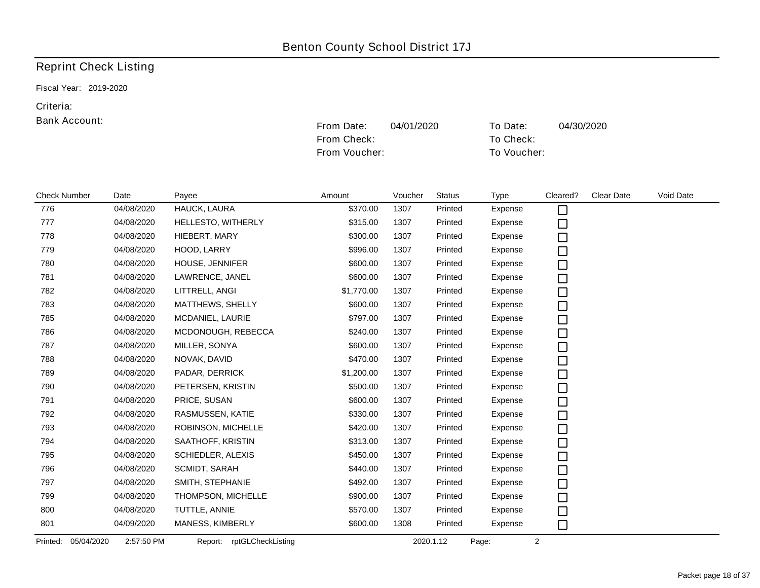From Check: To Check:

## Reprint Check Listing

Fiscal Year: 2019-2020

#### Criteria:

|                        |            |                           | From Voucher: |         |               | To Voucher: |          |                   |           |
|------------------------|------------|---------------------------|---------------|---------|---------------|-------------|----------|-------------------|-----------|
| <b>Check Number</b>    | Date       | Payee                     | Amount        | Voucher | <b>Status</b> | <b>Type</b> | Cleared? | <b>Clear Date</b> | Void Date |
| 776                    | 04/08/2020 | HAUCK, LAURA              | \$370.00      | 1307    | Printed       | Expense     | □        |                   |           |
| 777                    | 04/08/2020 | HELLESTO, WITHERLY        | \$315.00      | 1307    | Printed       | Expense     | $\Box$   |                   |           |
| 778                    | 04/08/2020 | HIEBERT, MARY             | \$300.00      | 1307    | Printed       | Expense     | $\Box$   |                   |           |
| 779                    | 04/08/2020 | HOOD, LARRY               | \$996.00      | 1307    | Printed       | Expense     | $\Box$   |                   |           |
| 780                    | 04/08/2020 | HOUSE, JENNIFER           | \$600.00      | 1307    | Printed       | Expense     | $\Box$   |                   |           |
| 781                    | 04/08/2020 | LAWRENCE, JANEL           | \$600.00      | 1307    | Printed       | Expense     | $\Box$   |                   |           |
| 782                    | 04/08/2020 | LITTRELL, ANGI            | \$1,770.00    | 1307    | Printed       | Expense     | $\Box$   |                   |           |
| 783                    | 04/08/2020 | MATTHEWS, SHELLY          | \$600.00      | 1307    | Printed       | Expense     | $\Box$   |                   |           |
| 785                    | 04/08/2020 | MCDANIEL, LAURIE          | \$797.00      | 1307    | Printed       | Expense     | $\Box$   |                   |           |
| 786                    | 04/08/2020 | MCDONOUGH, REBECCA        | \$240.00      | 1307    | Printed       | Expense     | $\Box$   |                   |           |
| 787                    | 04/08/2020 | MILLER, SONYA             | \$600.00      | 1307    | Printed       | Expense     | $\Box$   |                   |           |
| 788                    | 04/08/2020 | NOVAK, DAVID              | \$470.00      | 1307    | Printed       | Expense     | $\Box$   |                   |           |
| 789                    | 04/08/2020 | PADAR, DERRICK            | \$1,200.00    | 1307    | Printed       | Expense     | $\Box$   |                   |           |
| 790                    | 04/08/2020 | PETERSEN, KRISTIN         | \$500.00      | 1307    | Printed       | Expense     | $\Box$   |                   |           |
| 791                    | 04/08/2020 | PRICE, SUSAN              | \$600.00      | 1307    | Printed       | Expense     | $\Box$   |                   |           |
| 792                    | 04/08/2020 | RASMUSSEN, KATIE          | \$330.00      | 1307    | Printed       | Expense     | $\Box$   |                   |           |
| 793                    | 04/08/2020 | ROBINSON, MICHELLE        | \$420.00      | 1307    | Printed       | Expense     | $\Box$   |                   |           |
| 794                    | 04/08/2020 | SAATHOFF, KRISTIN         | \$313.00      | 1307    | Printed       | Expense     | $\Box$   |                   |           |
| 795                    | 04/08/2020 | SCHIEDLER, ALEXIS         | \$450.00      | 1307    | Printed       | Expense     | $\Box$   |                   |           |
| 796                    | 04/08/2020 | SCMIDT, SARAH             | \$440.00      | 1307    | Printed       | Expense     | $\Box$   |                   |           |
| 797                    | 04/08/2020 | SMITH, STEPHANIE          | \$492.00      | 1307    | Printed       | Expense     | $\Box$   |                   |           |
| 799                    | 04/08/2020 | THOMPSON, MICHELLE        | \$900.00      | 1307    | Printed       | Expense     | $\Box$   |                   |           |
| 800                    | 04/08/2020 | TUTTLE, ANNIE             | \$570.00      | 1307    | Printed       | Expense     | $\Box$   |                   |           |
| 801                    | 04/09/2020 | MANESS, KIMBERLY          | \$600.00      | 1308    | Printed       | Expense     | $\Box$   |                   |           |
| 05/04/2020<br>Printed: | 2:57:50 PM | Report: rptGLCheckListing |               |         | 2020.1.12     | Page:       | 2        |                   |           |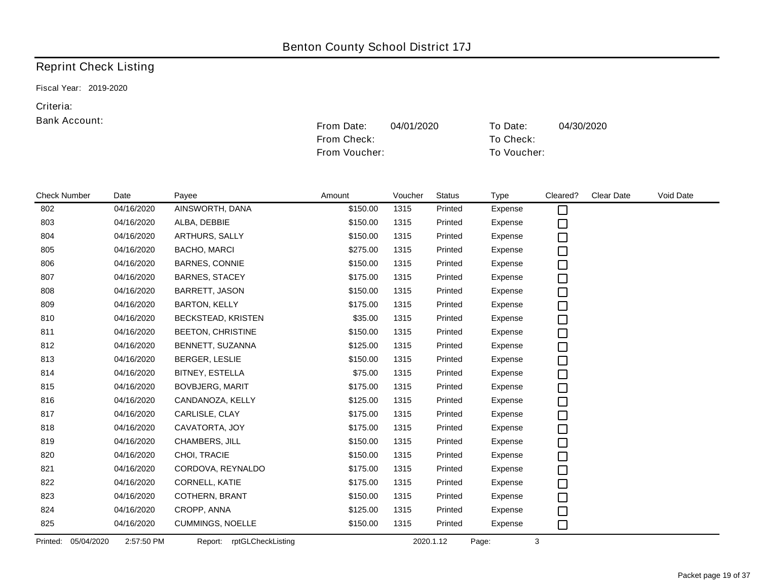From Check: To Check:

### Reprint Check Listing

Fiscal Year: 2019-2020

#### Criteria:

|                     |                          |                           | From Voucher: |         |               | To Voucher: |          |                   |           |  |
|---------------------|--------------------------|---------------------------|---------------|---------|---------------|-------------|----------|-------------------|-----------|--|
|                     |                          |                           |               |         |               |             |          |                   |           |  |
| <b>Check Number</b> | Date                     | Payee                     | Amount        | Voucher | <b>Status</b> | <b>Type</b> | Cleared? | <b>Clear Date</b> | Void Date |  |
| 802                 | 04/16/2020               | AINSWORTH, DANA           | \$150.00      | 1315    | Printed       | Expense     | □        |                   |           |  |
| 803                 | 04/16/2020               | ALBA, DEBBIE              | \$150.00      | 1315    | Printed       | Expense     | □        |                   |           |  |
| 804                 | 04/16/2020               | ARTHURS, SALLY            | \$150.00      | 1315    | Printed       | Expense     | □        |                   |           |  |
| 805                 | 04/16/2020               | <b>BACHO, MARCI</b>       | \$275.00      | 1315    | Printed       | Expense     | □        |                   |           |  |
| 806                 | 04/16/2020               | <b>BARNES, CONNIE</b>     | \$150.00      | 1315    | Printed       | Expense     | $\Box$   |                   |           |  |
| 807                 | 04/16/2020               | <b>BARNES, STACEY</b>     | \$175.00      | 1315    | Printed       | Expense     | $\Box$   |                   |           |  |
| 808                 | 04/16/2020               | BARRETT, JASON            | \$150.00      | 1315    | Printed       | Expense     | $\Box$   |                   |           |  |
| 809                 | 04/16/2020               | <b>BARTON, KELLY</b>      | \$175.00      | 1315    | Printed       | Expense     | □        |                   |           |  |
| 810                 | 04/16/2020               | BECKSTEAD, KRISTEN        | \$35.00       | 1315    | Printed       | Expense     | $\Box$   |                   |           |  |
| 811                 | 04/16/2020               | <b>BEETON, CHRISTINE</b>  | \$150.00      | 1315    | Printed       | Expense     | $\Box$   |                   |           |  |
| 812                 | 04/16/2020               | BENNETT, SUZANNA          | \$125.00      | 1315    | Printed       | Expense     | □        |                   |           |  |
| 813                 | 04/16/2020               | BERGER, LESLIE            | \$150.00      | 1315    | Printed       | Expense     | □        |                   |           |  |
| 814                 | 04/16/2020               | BITNEY, ESTELLA           | \$75.00       | 1315    | Printed       | Expense     | □        |                   |           |  |
| 815                 | 04/16/2020               | <b>BOVBJERG, MARIT</b>    | \$175.00      | 1315    | Printed       | Expense     | $\Box$   |                   |           |  |
| 816                 | 04/16/2020               | CANDANOZA, KELLY          | \$125.00      | 1315    | Printed       | Expense     | $\Box$   |                   |           |  |
| 817                 | 04/16/2020               | CARLISLE, CLAY            | \$175.00      | 1315    | Printed       | Expense     | $\Box$   |                   |           |  |
| 818                 | 04/16/2020               | CAVATORTA, JOY            | \$175.00      | 1315    | Printed       | Expense     | $\Box$   |                   |           |  |
| 819                 | 04/16/2020               | CHAMBERS, JILL            | \$150.00      | 1315    | Printed       | Expense     | $\Box$   |                   |           |  |
| 820                 | 04/16/2020               | CHOI, TRACIE              | \$150.00      | 1315    | Printed       | Expense     | $\Box$   |                   |           |  |
| 821                 | 04/16/2020               | CORDOVA, REYNALDO         | \$175.00      | 1315    | Printed       | Expense     | □        |                   |           |  |
| 822                 | 04/16/2020               | CORNELL, KATIE            | \$175.00      | 1315    | Printed       | Expense     | □        |                   |           |  |
| 823                 | 04/16/2020               | COTHERN, BRANT            | \$150.00      | 1315    | Printed       | Expense     | $\Box$   |                   |           |  |
| 824                 | 04/16/2020               | CROPP, ANNA               | \$125.00      | 1315    | Printed       | Expense     | □        |                   |           |  |
| 825                 | 04/16/2020               | <b>CUMMINGS, NOELLE</b>   | \$150.00      | 1315    | Printed       | Expense     | □        |                   |           |  |
| Printed:            | 05/04/2020<br>2:57:50 PM | Report: rptGLCheckListing |               |         | 2020.1.12     | Page:       | 3        |                   |           |  |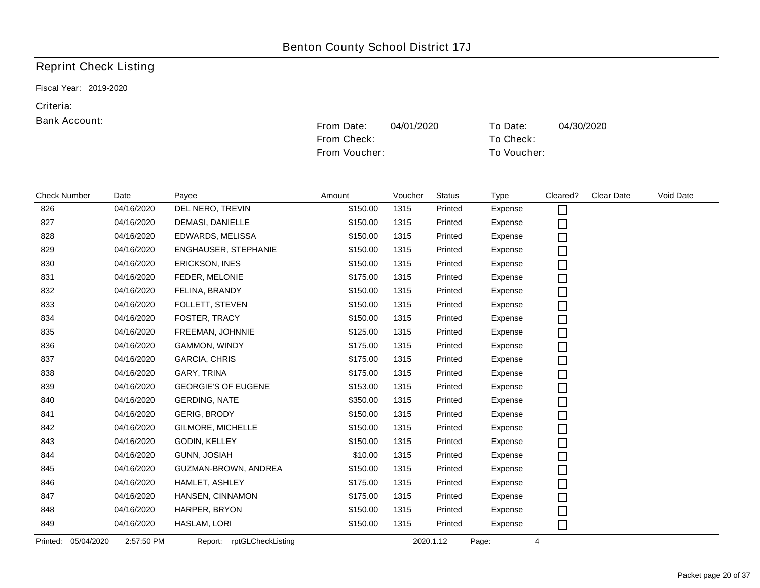From Check: To Check:

### Reprint Check Listing

Fiscal Year: 2019-2020

#### Criteria:

|                     |                          |                              | From Voucher: |         |               |             | To Voucher: |            |           |  |
|---------------------|--------------------------|------------------------------|---------------|---------|---------------|-------------|-------------|------------|-----------|--|
|                     |                          |                              |               |         |               |             |             |            |           |  |
| <b>Check Number</b> | Date                     | Payee                        | Amount        | Voucher | <b>Status</b> | <b>Type</b> | Cleared?    | Clear Date | Void Date |  |
| 826                 | 04/16/2020               | DEL NERO, TREVIN             | \$150.00      | 1315    | Printed       | Expense     | $\Box$      |            |           |  |
| 827                 | 04/16/2020               | DEMASI, DANIELLE             | \$150.00      | 1315    | Printed       | Expense     | □           |            |           |  |
| 828                 | 04/16/2020               | EDWARDS, MELISSA             | \$150.00      | 1315    | Printed       | Expense     | $\Box$      |            |           |  |
| 829                 | 04/16/2020               | ENGHAUSER, STEPHANIE         | \$150.00      | 1315    | Printed       | Expense     | $\Box$      |            |           |  |
| 830                 | 04/16/2020               | ERICKSON, INES               | \$150.00      | 1315    | Printed       | Expense     | $\Box$      |            |           |  |
| 831                 | 04/16/2020               | FEDER, MELONIE               | \$175.00      | 1315    | Printed       | Expense     | $\Box$      |            |           |  |
| 832                 | 04/16/2020               | FELINA, BRANDY               | \$150.00      | 1315    | Printed       | Expense     | $\Box$      |            |           |  |
| 833                 | 04/16/2020               | FOLLETT, STEVEN              | \$150.00      | 1315    | Printed       | Expense     | $\Box$      |            |           |  |
| 834                 | 04/16/2020               | FOSTER, TRACY                | \$150.00      | 1315    | Printed       | Expense     | $\Box$      |            |           |  |
| 835                 | 04/16/2020               | FREEMAN, JOHNNIE             | \$125.00      | 1315    | Printed       | Expense     | $\Box$      |            |           |  |
| 836                 | 04/16/2020               | GAMMON, WINDY                | \$175.00      | 1315    | Printed       | Expense     | $\Box$      |            |           |  |
| 837                 | 04/16/2020               | <b>GARCIA, CHRIS</b>         | \$175.00      | 1315    | Printed       | Expense     | $\Box$      |            |           |  |
| 838                 | 04/16/2020               | GARY, TRINA                  | \$175.00      | 1315    | Printed       | Expense     | $\Box$      |            |           |  |
| 839                 | 04/16/2020               | <b>GEORGIE'S OF EUGENE</b>   | \$153.00      | 1315    | Printed       | Expense     | $\Box$      |            |           |  |
| 840                 | 04/16/2020               | <b>GERDING, NATE</b>         | \$350.00      | 1315    | Printed       | Expense     | $\Box$      |            |           |  |
| 841                 | 04/16/2020               | <b>GERIG, BRODY</b>          | \$150.00      | 1315    | Printed       | Expense     |             |            |           |  |
| 842                 | 04/16/2020               | GILMORE, MICHELLE            | \$150.00      | 1315    | Printed       | Expense     | 0<br>0      |            |           |  |
| 843                 | 04/16/2020               | GODIN, KELLEY                | \$150.00      | 1315    | Printed       | Expense     | $\Box$      |            |           |  |
| 844                 | 04/16/2020               | <b>GUNN, JOSIAH</b>          | \$10.00       | 1315    | Printed       | Expense     | $\Box$      |            |           |  |
| 845                 | 04/16/2020               | GUZMAN-BROWN, ANDREA         | \$150.00      | 1315    | Printed       | Expense     | $\Box$      |            |           |  |
| 846                 | 04/16/2020               | HAMLET, ASHLEY               | \$175.00      | 1315    | Printed       | Expense     | $\Box$      |            |           |  |
| 847                 | 04/16/2020               | HANSEN, CINNAMON             | \$175.00      | 1315    | Printed       | Expense     | $\Box$      |            |           |  |
| 848                 | 04/16/2020               | HARPER, BRYON                | \$150.00      | 1315    | Printed       | Expense     | $\Box$      |            |           |  |
| 849                 | 04/16/2020               | HASLAM, LORI                 | \$150.00      | 1315    | Printed       | Expense     | $\Box$      |            |           |  |
| Printed:            | 05/04/2020<br>2:57:50 PM | rptGLCheckListing<br>Report: |               |         | 2020.1.12     | Page:       | 4           |            |           |  |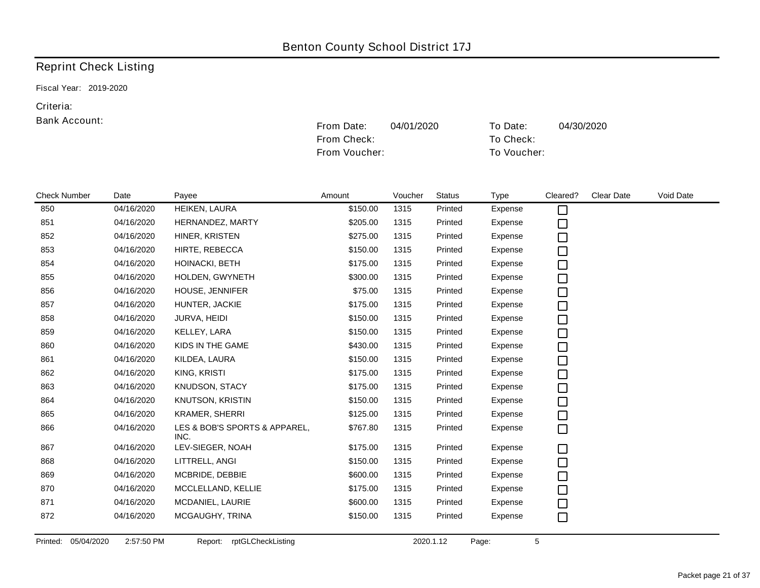From Check: To Check:

### Reprint Check Listing

Fiscal Year: 2019-2020

#### Criteria:

#### Bank Account:

|                     |            |                                       | From Voucher: |         |               | To Voucher: |          |            |           |
|---------------------|------------|---------------------------------------|---------------|---------|---------------|-------------|----------|------------|-----------|
|                     |            |                                       |               |         |               |             |          |            |           |
|                     |            |                                       |               |         |               |             |          |            |           |
| <b>Check Number</b> | Date       | Payee                                 | Amount        | Voucher | <b>Status</b> | <b>Type</b> | Cleared? | Clear Date | Void Date |
| 850                 | 04/16/2020 | HEIKEN, LAURA                         | \$150.00      | 1315    | Printed       | Expense     | $\Box$   |            |           |
| 851                 | 04/16/2020 | HERNANDEZ, MARTY                      | \$205.00      | 1315    | Printed       | Expense     | $\Box$   |            |           |
| 852                 | 04/16/2020 | HINER, KRISTEN                        | \$275.00      | 1315    | Printed       | Expense     | □        |            |           |
| 853                 | 04/16/2020 | HIRTE, REBECCA                        | \$150.00      | 1315    | Printed       | Expense     | $\Box$   |            |           |
| 854                 | 04/16/2020 | HOINACKI, BETH                        | \$175.00      | 1315    | Printed       | Expense     | $\Box$   |            |           |
| 855                 | 04/16/2020 | HOLDEN, GWYNETH                       | \$300.00      | 1315    | Printed       | Expense     | $\Box$   |            |           |
| 856                 | 04/16/2020 | HOUSE, JENNIFER                       | \$75.00       | 1315    | Printed       | Expense     | $\Box$   |            |           |
| 857                 | 04/16/2020 | HUNTER, JACKIE                        | \$175.00      | 1315    | Printed       | Expense     | $\Box$   |            |           |
| 858                 | 04/16/2020 | JURVA, HEIDI                          | \$150.00      | 1315    | Printed       | Expense     | $\Box$   |            |           |
| 859                 | 04/16/2020 | KELLEY, LARA                          | \$150.00      | 1315    | Printed       | Expense     | $\Box$   |            |           |
| 860                 | 04/16/2020 | KIDS IN THE GAME                      | \$430.00      | 1315    | Printed       | Expense     | $\Box$   |            |           |
| 861                 | 04/16/2020 | KILDEA, LAURA                         | \$150.00      | 1315    | Printed       | Expense     | $\Box$   |            |           |
| 862                 | 04/16/2020 | KING, KRISTI                          | \$175.00      | 1315    | Printed       | Expense     | $\Box$   |            |           |
| 863                 | 04/16/2020 | KNUDSON, STACY                        | \$175.00      | 1315    | Printed       | Expense     | $\Box$   |            |           |
| 864                 | 04/16/2020 | <b>KNUTSON, KRISTIN</b>               | \$150.00      | 1315    | Printed       | Expense     | $\Box$   |            |           |
| 865                 | 04/16/2020 | <b>KRAMER, SHERRI</b>                 | \$125.00      | 1315    | Printed       | Expense     | $\Box$   |            |           |
| 866                 | 04/16/2020 | LES & BOB'S SPORTS & APPAREL,<br>INC. | \$767.80      | 1315    | Printed       | Expense     | $\Box$   |            |           |
| 867                 | 04/16/2020 | LEV-SIEGER, NOAH                      | \$175.00      | 1315    | Printed       | Expense     | $\Box$   |            |           |
| 868                 | 04/16/2020 | LITTRELL, ANGI                        | \$150.00      | 1315    | Printed       | Expense     | □        |            |           |
| 869                 | 04/16/2020 | MCBRIDE, DEBBIE                       | \$600.00      | 1315    | Printed       | Expense     | $\Box$   |            |           |
| 870                 | 04/16/2020 | MCCLELLAND, KELLIE                    | \$175.00      | 1315    | Printed       | Expense     | $\Box$   |            |           |
| 871                 | 04/16/2020 | MCDANIEL, LAURIE                      | \$600.00      | 1315    | Printed       | Expense     | $\Box$   |            |           |
| 872                 | 04/16/2020 | MCGAUGHY, TRINA                       | \$150.00      | 1315    | Printed       | Expense     | $\Box$   |            |           |
|                     |            |                                       |               |         |               |             |          |            |           |

Printed: 05/04/2020 2:57:50 PM Report: rptGLCheckListing 2020.1.12 Page: 5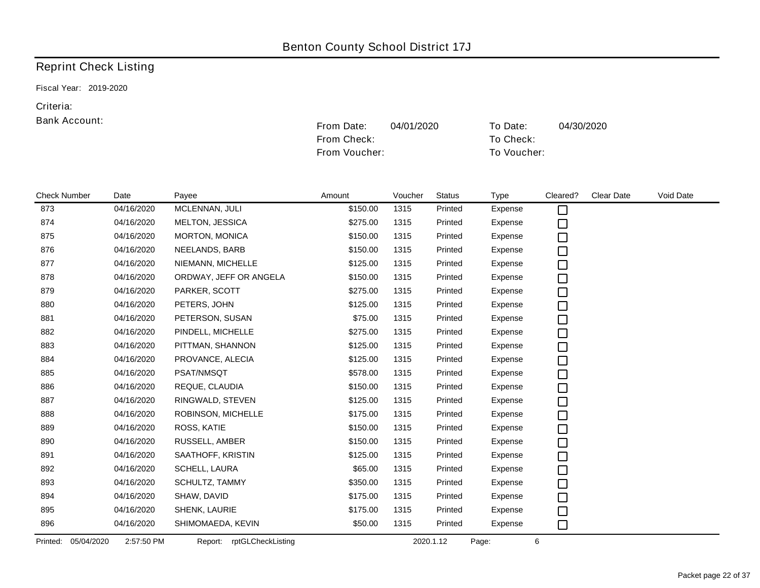From Check: To Check:

### Reprint Check Listing

Fiscal Year: 2019-2020

#### Criteria:

|                     |                          |                           | From Voucher: |         |               | To Voucher: |          |                   |           |
|---------------------|--------------------------|---------------------------|---------------|---------|---------------|-------------|----------|-------------------|-----------|
|                     |                          |                           |               |         |               |             |          |                   |           |
|                     |                          |                           |               |         |               |             |          |                   |           |
| <b>Check Number</b> | Date                     | Payee                     | Amount        | Voucher | <b>Status</b> | <b>Type</b> | Cleared? | <b>Clear Date</b> | Void Date |
| 873                 | 04/16/2020               | MCLENNAN, JULI            | \$150.00      | 1315    | Printed       | Expense     | $\Box$   |                   |           |
| 874                 | 04/16/2020               | MELTON, JESSICA           | \$275.00      | 1315    | Printed       | Expense     | $\Box$   |                   |           |
| 875                 | 04/16/2020               | MORTON, MONICA            | \$150.00      | 1315    | Printed       | Expense     | □        |                   |           |
| 876                 | 04/16/2020               | NEELANDS, BARB            | \$150.00      | 1315    | Printed       | Expense     | $\Box$   |                   |           |
| 877                 | 04/16/2020               | NIEMANN, MICHELLE         | \$125.00      | 1315    | Printed       | Expense     | $\Box$   |                   |           |
| 878                 | 04/16/2020               | ORDWAY, JEFF OR ANGELA    | \$150.00      | 1315    | Printed       | Expense     | $\Box$   |                   |           |
| 879                 | 04/16/2020               | PARKER, SCOTT             | \$275.00      | 1315    | Printed       | Expense     | $\Box$   |                   |           |
| 880                 | 04/16/2020               | PETERS, JOHN              | \$125.00      | 1315    | Printed       | Expense     | $\Box$   |                   |           |
| 881                 | 04/16/2020               | PETERSON, SUSAN           | \$75.00       | 1315    | Printed       | Expense     | $\Box$   |                   |           |
| 882                 | 04/16/2020               | PINDELL, MICHELLE         | \$275.00      | 1315    | Printed       | Expense     | □        |                   |           |
| 883                 | 04/16/2020               | PITTMAN, SHANNON          | \$125.00      | 1315    | Printed       | Expense     | □        |                   |           |
| 884                 | 04/16/2020               | PROVANCE, ALECIA          | \$125.00      | 1315    | Printed       | Expense     | $\Box$   |                   |           |
| 885                 | 04/16/2020               | PSAT/NMSQT                | \$578.00      | 1315    | Printed       | Expense     | □        |                   |           |
| 886                 | 04/16/2020               | REQUE, CLAUDIA            | \$150.00      | 1315    | Printed       | Expense     | $\Box$   |                   |           |
| 887                 | 04/16/2020               | RINGWALD, STEVEN          | \$125.00      | 1315    | Printed       | Expense     | $\Box$   |                   |           |
| 888                 | 04/16/2020               | ROBINSON, MICHELLE        | \$175.00      | 1315    | Printed       | Expense     | $\Box$   |                   |           |
| 889                 | 04/16/2020               | ROSS, KATIE               | \$150.00      | 1315    | Printed       | Expense     | $\Box$   |                   |           |
| 890                 | 04/16/2020               | RUSSELL, AMBER            | \$150.00      | 1315    | Printed       | Expense     | $\Box$   |                   |           |
| 891                 | 04/16/2020               | SAATHOFF, KRISTIN         | \$125.00      | 1315    | Printed       | Expense     | $\Box$   |                   |           |
| 892                 | 04/16/2020               | SCHELL, LAURA             | \$65.00       | 1315    | Printed       | Expense     | $\Box$   |                   |           |
| 893                 | 04/16/2020               | SCHULTZ, TAMMY            | \$350.00      | 1315    | Printed       | Expense     | $\Box$   |                   |           |
| 894                 | 04/16/2020               | SHAW, DAVID               | \$175.00      | 1315    | Printed       | Expense     | $\Box$   |                   |           |
| 895                 | 04/16/2020               | SHENK, LAURIE             | \$175.00      | 1315    | Printed       | Expense     | □        |                   |           |
| 896                 | 04/16/2020               | SHIMOMAEDA, KEVIN         | \$50.00       | 1315    | Printed       | Expense     | $\Box$   |                   |           |
| Printed:            | 05/04/2020<br>2:57:50 PM | Report: rptGLCheckListing |               |         | 2020.1.12     | Page:       | 6        |                   |           |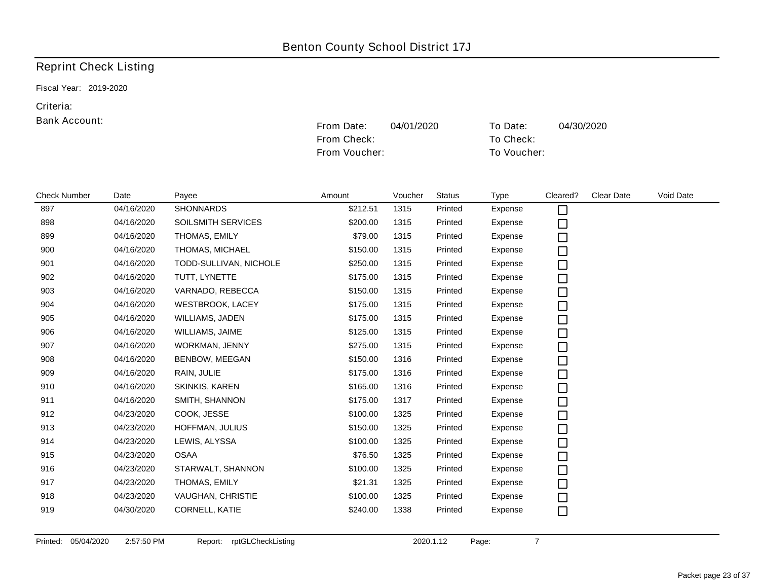Fiscal Year: 2019-2020

#### Criteria:

#### Bank Account:

|                     |            |                         | From Voucher: |         |               | To Voucher: |          |            |           |
|---------------------|------------|-------------------------|---------------|---------|---------------|-------------|----------|------------|-----------|
|                     |            |                         |               |         |               |             |          |            |           |
| <b>Check Number</b> | Date       | Payee                   | Amount        | Voucher | <b>Status</b> | <b>Type</b> | Cleared? | Clear Date | Void Date |
| 897                 | 04/16/2020 | <b>SHONNARDS</b>        | \$212.51      | 1315    | Printed       | Expense     | $\Box$   |            |           |
| 898                 | 04/16/2020 | SOILSMITH SERVICES      | \$200.00      | 1315    | Printed       | Expense     | $\Box$   |            |           |
| 899                 | 04/16/2020 | THOMAS, EMILY           | \$79.00       | 1315    | Printed       | Expense     | □        |            |           |
| 900                 | 04/16/2020 | THOMAS, MICHAEL         | \$150.00      | 1315    | Printed       | Expense     | $\Box$   |            |           |
| 901                 | 04/16/2020 | TODD-SULLIVAN, NICHOLE  | \$250.00      | 1315    | Printed       | Expense     | □        |            |           |
| 902                 | 04/16/2020 | TUTT, LYNETTE           | \$175.00      | 1315    | Printed       | Expense     | $\Box$   |            |           |
| 903                 | 04/16/2020 | VARNADO, REBECCA        | \$150.00      | 1315    | Printed       | Expense     | $\Box$   |            |           |
| 904                 | 04/16/2020 | <b>WESTBROOK, LACEY</b> | \$175.00      | 1315    | Printed       | Expense     | □        |            |           |
| 905                 | 04/16/2020 | WILLIAMS, JADEN         | \$175.00      | 1315    | Printed       | Expense     | □        |            |           |
| 906                 | 04/16/2020 | WILLIAMS, JAIME         | \$125.00      | 1315    | Printed       | Expense     | □        |            |           |
| 907                 | 04/16/2020 | WORKMAN, JENNY          | \$275.00      | 1315    | Printed       | Expense     | $\Box$   |            |           |
| 908                 | 04/16/2020 | BENBOW, MEEGAN          | \$150.00      | 1316    | Printed       | Expense     | □        |            |           |
| 909                 | 04/16/2020 | RAIN, JULIE             | \$175.00      | 1316    | Printed       | Expense     | $\Box$   |            |           |
| 910                 | 04/16/2020 | SKINKIS, KAREN          | \$165.00      | 1316    | Printed       | Expense     | $\Box$   |            |           |
| 911                 | 04/16/2020 | SMITH, SHANNON          | \$175.00      | 1317    | Printed       | Expense     | $\Box$   |            |           |
| 912                 | 04/23/2020 | COOK, JESSE             | \$100.00      | 1325    | Printed       | Expense     | $\Box$   |            |           |
| 913                 | 04/23/2020 | HOFFMAN, JULIUS         | \$150.00      | 1325    | Printed       | Expense     | $\Box$   |            |           |
| 914                 | 04/23/2020 | LEWIS, ALYSSA           | \$100.00      | 1325    | Printed       | Expense     | $\Box$   |            |           |
| 915                 | 04/23/2020 | <b>OSAA</b>             | \$76.50       | 1325    | Printed       | Expense     | $\Box$   |            |           |
| 916                 | 04/23/2020 | STARWALT, SHANNON       | \$100.00      | 1325    | Printed       | Expense     | $\Box$   |            |           |
| 917                 | 04/23/2020 | THOMAS, EMILY           | \$21.31       | 1325    | Printed       | Expense     | $\Box$   |            |           |
| 918                 | 04/23/2020 | VAUGHAN, CHRISTIE       | \$100.00      | 1325    | Printed       | Expense     | □        |            |           |
| 919                 | 04/30/2020 | CORNELL, KATIE          | \$240.00      | 1338    | Printed       | Expense     | $\Box$   |            |           |

From Date: 04/01/2020 To Date: 04/30/2020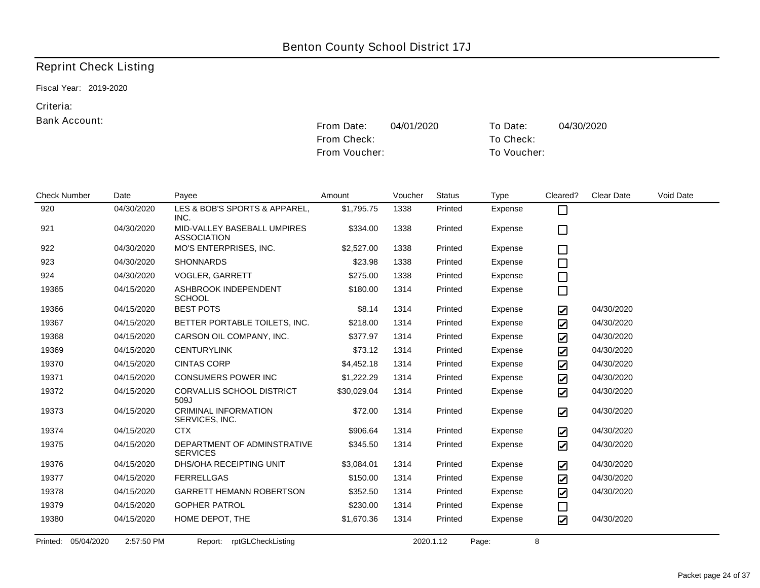Fiscal Year: 2019-2020

#### Criteria:

#### Bank Account:

|                     |            |                                                   | From Voucher: |         |               | To Voucher: |                         |                   |           |
|---------------------|------------|---------------------------------------------------|---------------|---------|---------------|-------------|-------------------------|-------------------|-----------|
| <b>Check Number</b> | Date       | Payee                                             | Amount        | Voucher | <b>Status</b> | Type        | Cleared?                | <b>Clear Date</b> | Void Date |
| 920                 | 04/30/2020 | LES & BOB'S SPORTS & APPAREL,<br>INC.             | \$1,795.75    | 1338    | Printed       | Expense     | $\Box$                  |                   |           |
| 921                 | 04/30/2020 | MID-VALLEY BASEBALL UMPIRES<br><b>ASSOCIATION</b> | \$334.00      | 1338    | Printed       | Expense     | $\Box$                  |                   |           |
| 922                 | 04/30/2020 | MO'S ENTERPRISES, INC.                            | \$2,527.00    | 1338    | Printed       | Expense     | □                       |                   |           |
| 923                 | 04/30/2020 | <b>SHONNARDS</b>                                  | \$23.98       | 1338    | Printed       | Expense     | □                       |                   |           |
| 924                 | 04/30/2020 | VOGLER, GARRETT                                   | \$275.00      | 1338    | Printed       | Expense     | $\Box$                  |                   |           |
| 19365               | 04/15/2020 | ASHBROOK INDEPENDENT<br><b>SCHOOL</b>             | \$180.00      | 1314    | Printed       | Expense     | $\Box$                  |                   |           |
| 19366               | 04/15/2020 | <b>BEST POTS</b>                                  | \$8.14        | 1314    | Printed       | Expense     | $\boldsymbol{\boxdot}$  | 04/30/2020        |           |
| 19367               | 04/15/2020 | BETTER PORTABLE TOILETS, INC.                     | \$218.00      | 1314    | Printed       | Expense     | ☑                       | 04/30/2020        |           |
| 19368               | 04/15/2020 | CARSON OIL COMPANY, INC.                          | \$377.97      | 1314    | Printed       | Expense     | ☑                       | 04/30/2020        |           |
| 19369               | 04/15/2020 | <b>CENTURYLINK</b>                                | \$73.12       | 1314    | Printed       | Expense     | $\overline{\mathbf{z}}$ | 04/30/2020        |           |
| 19370               | 04/15/2020 | <b>CINTAS CORP</b>                                | \$4,452.18    | 1314    | Printed       | Expense     | ☑                       | 04/30/2020        |           |
| 19371               | 04/15/2020 | <b>CONSUMERS POWER INC</b>                        | \$1,222.29    | 1314    | Printed       | Expense     | ☑                       | 04/30/2020        |           |
| 19372               | 04/15/2020 | CORVALLIS SCHOOL DISTRICT<br>509J                 | \$30,029.04   | 1314    | Printed       | Expense     | ☑                       | 04/30/2020        |           |
| 19373               | 04/15/2020 | <b>CRIMINAL INFORMATION</b><br>SERVICES, INC.     | \$72.00       | 1314    | Printed       | Expense     | ☑                       | 04/30/2020        |           |
| 19374               | 04/15/2020 | <b>CTX</b>                                        | \$906.64      | 1314    | Printed       | Expense     | $\overline{\mathbf{z}}$ | 04/30/2020        |           |
| 19375               | 04/15/2020 | DEPARTMENT OF ADMINSTRATIVE<br><b>SERVICES</b>    | \$345.50      | 1314    | Printed       | Expense     | $\overline{\mathbf{z}}$ | 04/30/2020        |           |
| 19376               | 04/15/2020 | DHS/OHA RECEIPTING UNIT                           | \$3,084.01    | 1314    | Printed       | Expense     | $\overline{\mathbf{z}}$ | 04/30/2020        |           |
| 19377               | 04/15/2020 | <b>FERRELLGAS</b>                                 | \$150.00      | 1314    | Printed       | Expense     | $\overline{\mathbf{z}}$ | 04/30/2020        |           |
| 19378               | 04/15/2020 | GARRETT HEMANN ROBERTSON                          | \$352.50      | 1314    | Printed       | Expense     | $\overline{\mathbf{z}}$ | 04/30/2020        |           |
| 19379               | 04/15/2020 | <b>GOPHER PATROL</b>                              | \$230.00      | 1314    | Printed       | Expense     | $\Box$                  |                   |           |
| 19380               | 04/15/2020 | HOME DEPOT, THE                                   | \$1,670.36    | 1314    | Printed       | Expense     | $\boldsymbol{\boxdot}$  | 04/30/2020        |           |
| Printed: 05/04/2020 | 2:57:50 PM | rptGLCheckListing<br>Report:                      |               |         | 2020.1.12     | Page:       | 8                       |                   |           |

From Date: 04/01/2020 To Date: 04/30/2020

From Check: To Check:

#### Packet page 24 of 37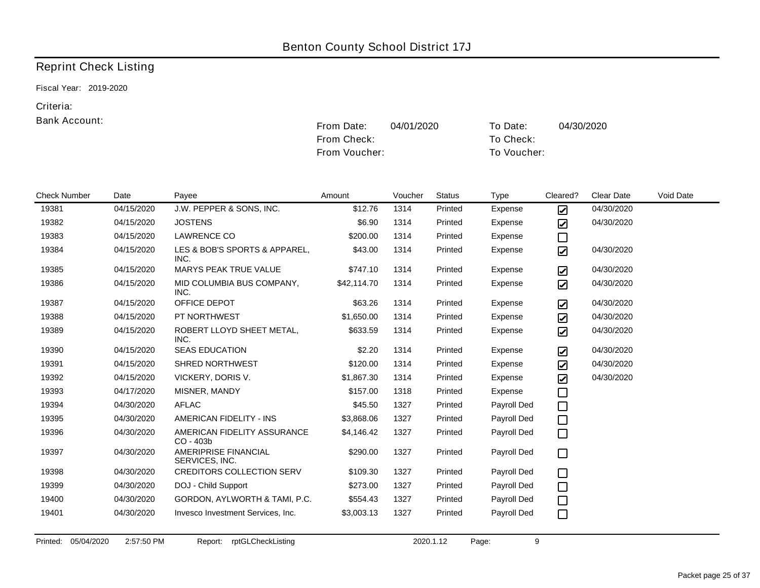Fiscal Year: 2019-2020

#### Criteria:

#### Bank Account:

|                     |            |                                          | From Voucher: |         |               | To Voucher: |                          |                   |           |
|---------------------|------------|------------------------------------------|---------------|---------|---------------|-------------|--------------------------|-------------------|-----------|
| <b>Check Number</b> | Date       | Payee                                    | Amount        | Voucher | <b>Status</b> | <b>Type</b> | Cleared?                 | <b>Clear Date</b> | Void Date |
| 19381               | 04/15/2020 | J.W. PEPPER & SONS, INC.                 | \$12.76       | 1314    | Printed       | Expense     | ☑                        | 04/30/2020        |           |
| 19382               | 04/15/2020 | <b>JOSTENS</b>                           | \$6.90        | 1314    | Printed       | Expense     | $\boldsymbol{\boxdot}$   | 04/30/2020        |           |
| 19383               | 04/15/2020 | LAWRENCE CO                              | \$200.00      | 1314    | Printed       | Expense     | $\Box$                   |                   |           |
| 19384               | 04/15/2020 | LES & BOB'S SPORTS & APPAREL,<br>INC.    | \$43.00       | 1314    | Printed       | Expense     | $\overline{\mathbf{z}}$  | 04/30/2020        |           |
| 19385               | 04/15/2020 | MARYS PEAK TRUE VALUE                    | \$747.10      | 1314    | Printed       | Expense     | $\boldsymbol{\boxtimes}$ | 04/30/2020        |           |
| 19386               | 04/15/2020 | MID COLUMBIA BUS COMPANY,<br>INC.        | \$42,114.70   | 1314    | Printed       | Expense     | $\boldsymbol{\boxdot}$   | 04/30/2020        |           |
| 19387               | 04/15/2020 | OFFICE DEPOT                             | \$63.26       | 1314    | Printed       | Expense     | $\boldsymbol{\boxtimes}$ | 04/30/2020        |           |
| 19388               | 04/15/2020 | PT NORTHWEST                             | \$1,650.00    | 1314    | Printed       | Expense     | $\boldsymbol{\boxdot}$   | 04/30/2020        |           |
| 19389               | 04/15/2020 | ROBERT LLOYD SHEET METAL,<br>INC.        | \$633.59      | 1314    | Printed       | Expense     | $\boldsymbol{\boxtimes}$ | 04/30/2020        |           |
| 19390               | 04/15/2020 | <b>SEAS EDUCATION</b>                    | \$2.20        | 1314    | Printed       | Expense     | ☑                        | 04/30/2020        |           |
| 19391               | 04/15/2020 | SHRED NORTHWEST                          | \$120.00      | 1314    | Printed       | Expense     | $\boldsymbol{\boxdot}$   | 04/30/2020        |           |
| 19392               | 04/15/2020 | VICKERY, DORIS V.                        | \$1,867.30    | 1314    | Printed       | Expense     | $\boldsymbol{\boxdot}$   | 04/30/2020        |           |
| 19393               | 04/17/2020 | MISNER, MANDY                            | \$157.00      | 1318    | Printed       | Expense     | $\Box$                   |                   |           |
| 19394               | 04/30/2020 | <b>AFLAC</b>                             | \$45.50       | 1327    | Printed       | Payroll Ded | $\Box$                   |                   |           |
| 19395               | 04/30/2020 | AMERICAN FIDELITY - INS                  | \$3,868.06    | 1327    | Printed       | Payroll Ded | $\Box$                   |                   |           |
| 19396               | 04/30/2020 | AMERICAN FIDELITY ASSURANCE<br>CO - 403b | \$4,146.42    | 1327    | Printed       | Payroll Ded | □                        |                   |           |
| 19397               | 04/30/2020 | AMERIPRISE FINANCIAL<br>SERVICES, INC.   | \$290.00      | 1327    | Printed       | Payroll Ded | □                        |                   |           |
| 19398               | 04/30/2020 | <b>CREDITORS COLLECTION SERV</b>         | \$109.30      | 1327    | Printed       | Payroll Ded | $\Box$                   |                   |           |
| 19399               | 04/30/2020 | DOJ - Child Support                      | \$273.00      | 1327    | Printed       | Payroll Ded | $\Box$                   |                   |           |
| 19400               | 04/30/2020 | GORDON, AYLWORTH & TAMI, P.C.            | \$554.43      | 1327    | Printed       | Payroll Ded | $\Box$                   |                   |           |
| 19401               | 04/30/2020 | Invesco Investment Services, Inc.        | \$3,003.13    | 1327    | Printed       | Payroll Ded | $\Box$                   |                   |           |

From Date: 04/01/2020 To Date: 04/30/2020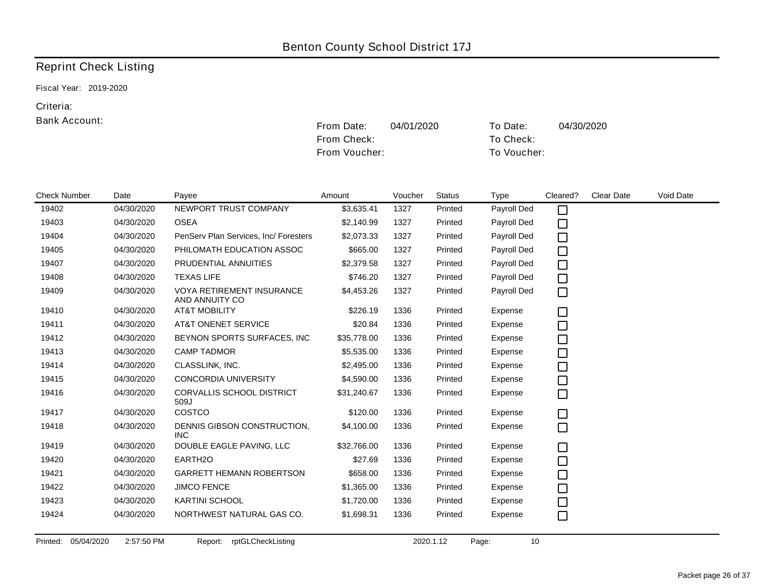Fiscal Year: 2019-2020

#### Criteria:

#### Bank Account:

|                     |            |                                                    | From Voucher: |         |               | To Voucher: |          |                   |           |
|---------------------|------------|----------------------------------------------------|---------------|---------|---------------|-------------|----------|-------------------|-----------|
| <b>Check Number</b> | Date       | Payee                                              | Amount        | Voucher | <b>Status</b> | Type        | Cleared? | <b>Clear Date</b> | Void Date |
| 19402               | 04/30/2020 | NEWPORT TRUST COMPANY                              | \$3,635.41    | 1327    | Printed       | Payroll Ded | $\Box$   |                   |           |
| 19403               | 04/30/2020 | <b>OSEA</b>                                        | \$2,140.99    | 1327    | Printed       | Payroll Ded | $\Box$   |                   |           |
| 19404               | 04/30/2020 | PenServ Plan Services, Inc/ Foresters              | \$2,073.33    | 1327    | Printed       | Payroll Ded | $\Box$   |                   |           |
| 19405               | 04/30/2020 | PHILOMATH EDUCATION ASSOC                          | \$665.00      | 1327    | Printed       | Payroll Ded | $\Box$   |                   |           |
| 19407               | 04/30/2020 | PRUDENTIAL ANNUITIES                               | \$2,379.58    | 1327    | Printed       | Payroll Ded | $\Box$   |                   |           |
| 19408               | 04/30/2020 | <b>TEXAS LIFE</b>                                  | \$746.20      | 1327    | Printed       | Payroll Ded | $\Box$   |                   |           |
| 19409               | 04/30/2020 | <b>VOYA RETIREMENT INSURANCE</b><br>AND ANNUITY CO | \$4,453.26    | 1327    | Printed       | Payroll Ded | $\Box$   |                   |           |
| 19410               | 04/30/2020 | <b>AT&amp;T MOBILITY</b>                           | \$226.19      | 1336    | Printed       | Expense     | $\Box$   |                   |           |
| 19411               | 04/30/2020 | <b>AT&amp;T ONENET SERVICE</b>                     | \$20.84       | 1336    | Printed       | Expense     | $\Box$   |                   |           |
| 19412               | 04/30/2020 | BEYNON SPORTS SURFACES, INC.                       | \$35,778.00   | 1336    | Printed       | Expense     | $\Box$   |                   |           |
| 19413               | 04/30/2020 | <b>CAMP TADMOR</b>                                 | \$5,535.00    | 1336    | Printed       | Expense     | $\Box$   |                   |           |
| 19414               | 04/30/2020 | CLASSLINK, INC.                                    | \$2,495.00    | 1336    | Printed       | Expense     | $\Box$   |                   |           |
| 19415               | 04/30/2020 | <b>CONCORDIA UNIVERSITY</b>                        | \$4,590.00    | 1336    | Printed       | Expense     | $\Box$   |                   |           |
| 19416               | 04/30/2020 | <b>CORVALLIS SCHOOL DISTRICT</b><br>509J           | \$31,240.67   | 1336    | Printed       | Expense     | $\Box$   |                   |           |
| 19417               | 04/30/2020 | COSTCO                                             | \$120.00      | 1336    | Printed       | Expense     | □        |                   |           |
| 19418               | 04/30/2020 | DENNIS GIBSON CONSTRUCTION,<br><b>INC</b>          | \$4,100.00    | 1336    | Printed       | Expense     | $\Box$   |                   |           |
| 19419               | 04/30/2020 | DOUBLE EAGLE PAVING, LLC                           | \$32,766.00   | 1336    | Printed       | Expense     | □        |                   |           |
| 19420               | 04/30/2020 | EARTH <sub>20</sub>                                | \$27.69       | 1336    | Printed       | Expense     | $\Box$   |                   |           |
| 19421               | 04/30/2020 | <b>GARRETT HEMANN ROBERTSON</b>                    | \$658.00      | 1336    | Printed       | Expense     | $\Box$   |                   |           |
| 19422               | 04/30/2020 | <b>JIMCO FENCE</b>                                 | \$1,365.00    | 1336    | Printed       | Expense     | $\Box$   |                   |           |
| 19423               | 04/30/2020 | <b>KARTINI SCHOOL</b>                              | \$1,720.00    | 1336    | Printed       | Expense     | $\Box$   |                   |           |
| 19424               | 04/30/2020 | NORTHWEST NATURAL GAS CO.                          | \$1,698.31    | 1336    | Printed       | Expense     | $\Box$   |                   |           |

From Date: 04/01/2020 To Date: 04/30/2020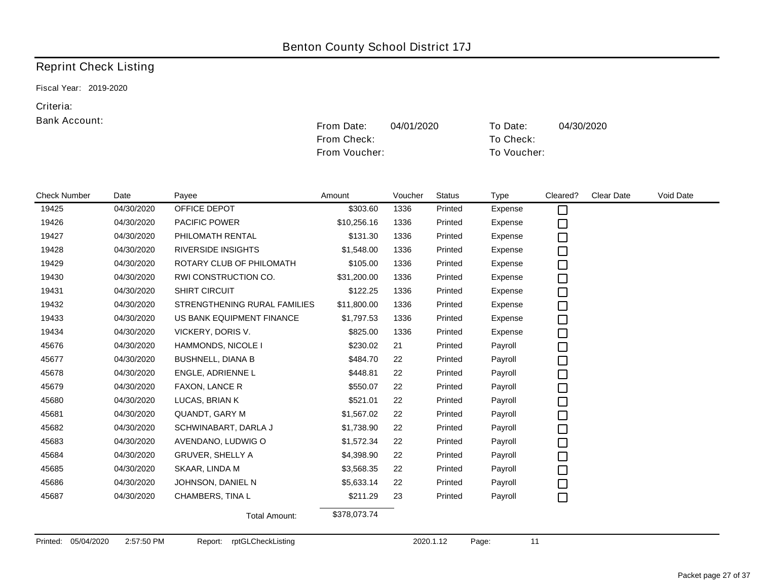Fiscal Year: 2019-2020

#### Criteria:

#### Bank Account:

|                     |            |                              | From Voucher: |         |               |             | To Voucher: |            |           |
|---------------------|------------|------------------------------|---------------|---------|---------------|-------------|-------------|------------|-----------|
| <b>Check Number</b> | Date       | Payee                        | Amount        | Voucher | <b>Status</b> | <b>Type</b> | Cleared?    | Clear Date | Void Date |
| 19425               | 04/30/2020 | OFFICE DEPOT                 | \$303.60      | 1336    | Printed       | Expense     | $\Box$      |            |           |
| 19426               | 04/30/2020 | <b>PACIFIC POWER</b>         | \$10,256.16   | 1336    | Printed       | Expense     | $\Box$      |            |           |
| 19427               | 04/30/2020 | PHILOMATH RENTAL             | \$131.30      | 1336    | Printed       | Expense     | $\Box$      |            |           |
| 19428               | 04/30/2020 | <b>RIVERSIDE INSIGHTS</b>    | \$1,548.00    | 1336    | Printed       | Expense     | $\Box$      |            |           |
| 19429               | 04/30/2020 | ROTARY CLUB OF PHILOMATH     | \$105.00      | 1336    | Printed       | Expense     | $\Box$      |            |           |
| 19430               | 04/30/2020 | RWI CONSTRUCTION CO.         | \$31,200.00   | 1336    | Printed       | Expense     | $\Box$      |            |           |
| 19431               | 04/30/2020 | <b>SHIRT CIRCUIT</b>         | \$122.25      | 1336    | Printed       | Expense     | $\Box$      |            |           |
| 19432               | 04/30/2020 | STRENGTHENING RURAL FAMILIES | \$11,800.00   | 1336    | Printed       | Expense     | $\Box$      |            |           |
| 19433               | 04/30/2020 | US BANK EQUIPMENT FINANCE    | \$1,797.53    | 1336    | Printed       | Expense     | $\Box$      |            |           |
| 19434               | 04/30/2020 | VICKERY, DORIS V.            | \$825.00      | 1336    | Printed       | Expense     | $\Box$      |            |           |
| 45676               | 04/30/2020 | HAMMONDS, NICOLE I           | \$230.02      | 21      | Printed       | Payroll     | $\Box$      |            |           |
| 45677               | 04/30/2020 | <b>BUSHNELL, DIANA B</b>     | \$484.70      | 22      | Printed       | Payroll     | $\Box$      |            |           |
| 45678               | 04/30/2020 | ENGLE, ADRIENNE L            | \$448.81      | 22      | Printed       | Payroll     | $\Box$      |            |           |
| 45679               | 04/30/2020 | FAXON, LANCE R               | \$550.07      | 22      | Printed       | Payroll     | $\Box$      |            |           |
| 45680               | 04/30/2020 | LUCAS, BRIAN K               | \$521.01      | 22      | Printed       | Payroll     | $\Box$      |            |           |
| 45681               | 04/30/2020 | QUANDT, GARY M               | \$1,567.02    | 22      | Printed       | Payroll     | $\Box$      |            |           |
| 45682               | 04/30/2020 | SCHWINABART, DARLA J         | \$1,738.90    | 22      | Printed       | Payroll     | $\Box$      |            |           |
| 45683               | 04/30/2020 | AVENDANO, LUDWIG O           | \$1,572.34    | 22      | Printed       | Payroll     | $\Box$      |            |           |
| 45684               | 04/30/2020 | GRUVER, SHELLY A             | \$4,398.90    | 22      | Printed       | Payroll     | $\Box$      |            |           |
| 45685               | 04/30/2020 | SKAAR, LINDA M               | \$3,568.35    | 22      | Printed       | Payroll     | $\Box$      |            |           |
| 45686               | 04/30/2020 | JOHNSON, DANIEL N            | \$5,633.14    | 22      | Printed       | Payroll     | $\Box$      |            |           |
| 45687               | 04/30/2020 | CHAMBERS, TINA L             | \$211.29      | 23      | Printed       | Payroll     | $\Box$      |            |           |
|                     |            | Total Amount:                | \$378,073.74  |         |               |             |             |            |           |

From Date: 04/01/2020 To Date: 04/30/2020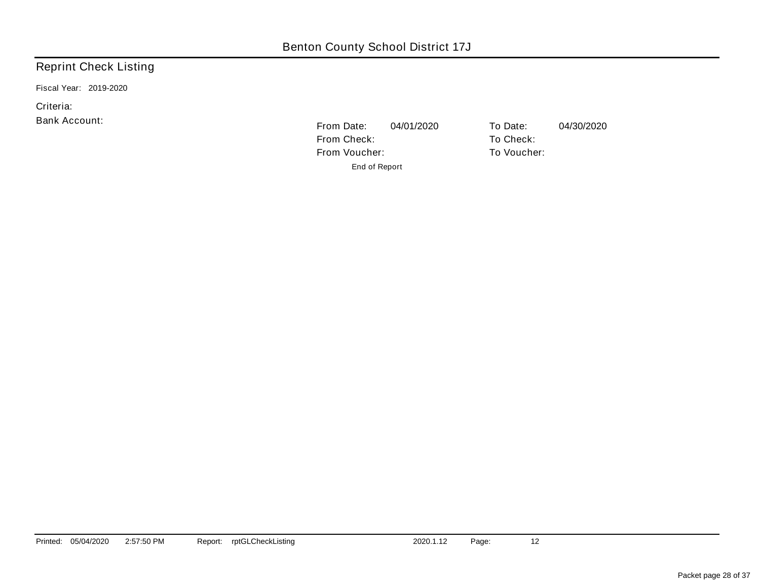Fiscal Year: 2019-2020

Criteria:

Bank Account:

From Date: 04/01/2020 To Date: 04/30/2020 From Check: To Check: From Voucher: To Voucher: End of Report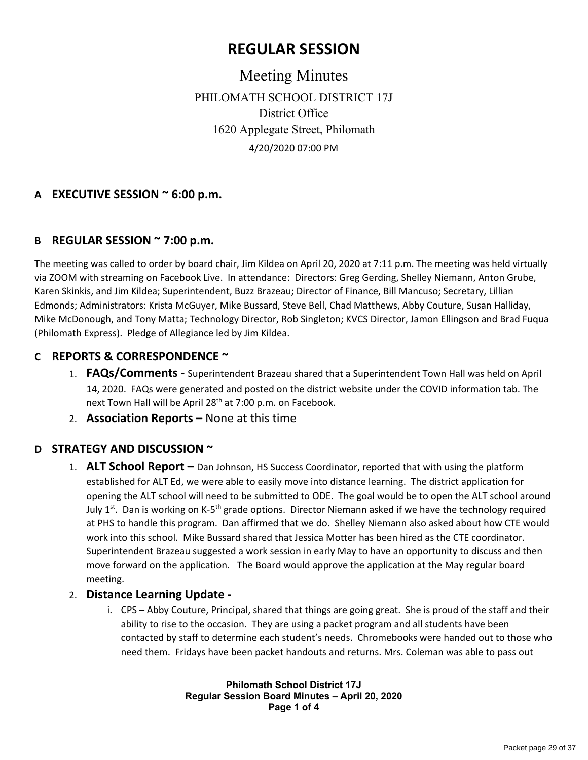# **REGULAR SESSION**

Meeting Minutes PHILOMATH SCHOOL DISTRICT 17J District Office 1620 Applegate Street, Philomath 4/20/2020 07:00 PM

### **A EXECUTIVE SESSION ~ 6:00 p.m.**

#### **B REGULAR SESSION ~ 7:00 p.m.**

The meeting was called to order by board chair, Jim Kildea on April 20, 2020 at 7:11 p.m. The meeting was held virtually via ZOOM with streaming on Facebook Live. In attendance: Directors: Greg Gerding, Shelley Niemann, Anton Grube, Karen Skinkis, and Jim Kildea; Superintendent, Buzz Brazeau; Director of Finance, Bill Mancuso; Secretary, Lillian Edmonds; Administrators: Krista McGuyer, Mike Bussard, Steve Bell, Chad Matthews, Abby Couture, Susan Halliday, Mike McDonough, and Tony Matta; Technology Director, Rob Singleton; KVCS Director, Jamon Ellingson and Brad Fuqua (Philomath Express). Pledge of Allegiance led by Jim Kildea.

#### **C REPORTS & CORRESPONDENCE ~**

- 1. **FAQs/Comments ‐** Superintendent Brazeau shared that a Superintendent Town Hall was held on April 14, 2020. FAQs were generated and posted on the district website under the COVID information tab. The next Town Hall will be April 28<sup>th</sup> at 7:00 p.m. on Facebook.
- 2. **Association Reports –** None at this time

#### **D STRATEGY AND DISCUSSION ~**

1. **ALT School Report –** Dan Johnson, HS Success Coordinator, reported that with using the platform established for ALT Ed, we were able to easily move into distance learning. The district application for opening the ALT school will need to be submitted to ODE. The goal would be to open the ALT school around July 1<sup>st</sup>. Dan is working on K-5<sup>th</sup> grade options. Director Niemann asked if we have the technology required at PHS to handle this program. Dan affirmed that we do. Shelley Niemann also asked about how CTE would work into this school. Mike Bussard shared that Jessica Motter has been hired as the CTE coordinator. Superintendent Brazeau suggested a work session in early May to have an opportunity to discuss and then move forward on the application. The Board would approve the application at the May regular board meeting.

#### 2. **Distance Learning Update ‐**

i. CPS – Abby Couture, Principal, shared that things are going great. She is proud of the staff and their ability to rise to the occasion. They are using a packet program and all students have been contacted by staff to determine each student's needs. Chromebooks were handed out to those who need them. Fridays have been packet handouts and returns. Mrs. Coleman was able to pass out

> **Philomath School District 17J Regular Session Board Minutes – April 20, 2020 Page 1 of 4**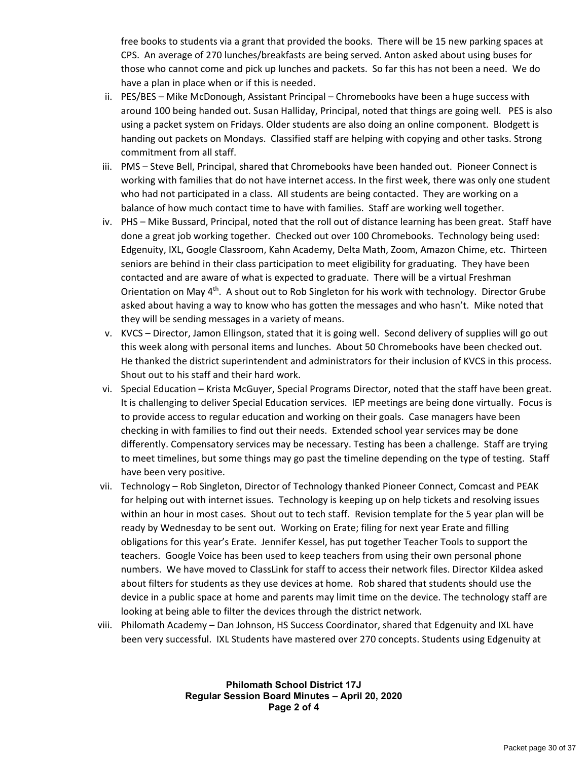free books to students via a grant that provided the books. There will be 15 new parking spaces at CPS. An average of 270 lunches/breakfasts are being served. Anton asked about using buses for those who cannot come and pick up lunches and packets. So far this has not been a need. We do have a plan in place when or if this is needed.

- ii. PES/BES Mike McDonough, Assistant Principal Chromebooks have been a huge success with around 100 being handed out. Susan Halliday, Principal, noted that things are going well. PES is also using a packet system on Fridays. Older students are also doing an online component. Blodgett is handing out packets on Mondays. Classified staff are helping with copying and other tasks. Strong commitment from all staff.
- iii. PMS Steve Bell, Principal, shared that Chromebooks have been handed out. Pioneer Connect is working with families that do not have internet access. In the first week, there was only one student who had not participated in a class. All students are being contacted. They are working on a balance of how much contact time to have with families. Staff are working well together.
- iv. PHS Mike Bussard, Principal, noted that the roll out of distance learning has been great. Staff have done a great job working together. Checked out over 100 Chromebooks. Technology being used: Edgenuity, IXL, Google Classroom, Kahn Academy, Delta Math, Zoom, Amazon Chime, etc. Thirteen seniors are behind in their class participation to meet eligibility for graduating. They have been contacted and are aware of what is expected to graduate. There will be a virtual Freshman Orientation on May 4<sup>th</sup>. A shout out to Rob Singleton for his work with technology. Director Grube asked about having a way to know who has gotten the messages and who hasn't. Mike noted that they will be sending messages in a variety of means.
- v. KVCS Director, Jamon Ellingson, stated that it is going well. Second delivery of supplies will go out this week along with personal items and lunches. About 50 Chromebooks have been checked out. He thanked the district superintendent and administrators for their inclusion of KVCS in this process. Shout out to his staff and their hard work.
- vi. Special Education Krista McGuyer, Special Programs Director, noted that the staff have been great. It is challenging to deliver Special Education services. IEP meetings are being done virtually. Focus is to provide access to regular education and working on their goals. Case managers have been checking in with families to find out their needs. Extended school year services may be done differently. Compensatory services may be necessary. Testing has been a challenge. Staff are trying to meet timelines, but some things may go past the timeline depending on the type of testing. Staff have been very positive.
- vii. Technology Rob Singleton, Director of Technology thanked Pioneer Connect, Comcast and PEAK for helping out with internet issues. Technology is keeping up on help tickets and resolving issues within an hour in most cases. Shout out to tech staff. Revision template for the 5 year plan will be ready by Wednesday to be sent out. Working on Erate; filing for next year Erate and filling obligations for this year's Erate. Jennifer Kessel, has put together Teacher Tools to support the teachers. Google Voice has been used to keep teachers from using their own personal phone numbers. We have moved to ClassLink for staff to access their network files. Director Kildea asked about filters for students as they use devices at home. Rob shared that students should use the device in a public space at home and parents may limit time on the device. The technology staff are looking at being able to filter the devices through the district network.
- viii. Philomath Academy Dan Johnson, HS Success Coordinator, shared that Edgenuity and IXL have been very successful. IXL Students have mastered over 270 concepts. Students using Edgenuity at

**Philomath School District 17J Regular Session Board Minutes – April 20, 2020 Page 2 of 4**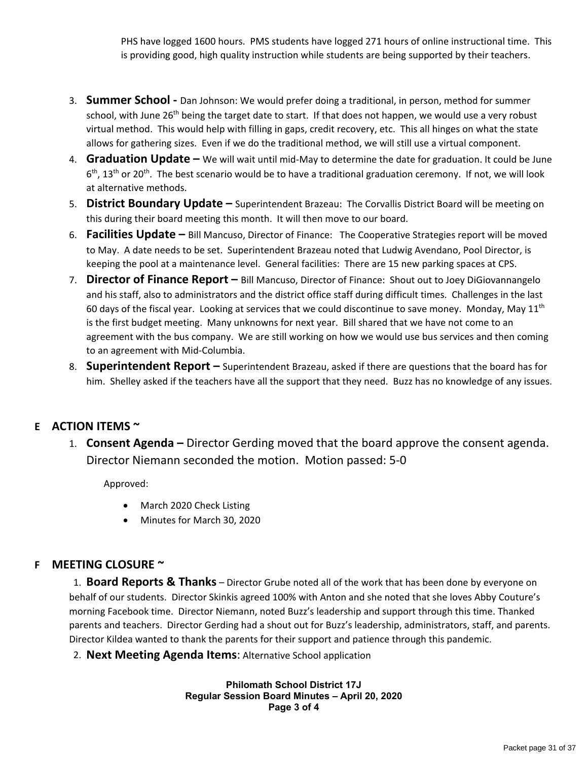PHS have logged 1600 hours. PMS students have logged 271 hours of online instructional time. This is providing good, high quality instruction while students are being supported by their teachers.

- 3. **Summer School ‐** Dan Johnson: We would prefer doing a traditional, in person, method for summer school, with June 26<sup>th</sup> being the target date to start. If that does not happen, we would use a very robust virtual method. This would help with filling in gaps, credit recovery, etc. This all hinges on what the state allows for gathering sizes. Even if we do the traditional method, we will still use a virtual component.
- 4. **Graduation Update –** We will wait until mid‐May to determine the date for graduation. It could be June 6<sup>th</sup>, 13<sup>th</sup> or 20<sup>th</sup>. The best scenario would be to have a traditional graduation ceremony. If not, we will look at alternative methods.
- 5. **District Boundary Update –** Superintendent Brazeau: The Corvallis District Board will be meeting on this during their board meeting this month. It will then move to our board.
- 6. **Facilities Update –** Bill Mancuso, Director of Finance: The Cooperative Strategies report will be moved to May. A date needs to be set. Superintendent Brazeau noted that Ludwig Avendano, Pool Director, is keeping the pool at a maintenance level. General facilities: There are 15 new parking spaces at CPS.
- 7. **Director of Finance Report –** Bill Mancuso, Director of Finance: Shout out to Joey DiGiovannangelo and his staff, also to administrators and the district office staff during difficult times. Challenges in the last 60 days of the fiscal year. Looking at services that we could discontinue to save money. Monday, May  $11<sup>th</sup>$ is the first budget meeting. Many unknowns for next year. Bill shared that we have not come to an agreement with the bus company. We are still working on how we would use bus services and then coming to an agreement with Mid‐Columbia.
- 8. **Superintendent Report –** Superintendent Brazeau, asked if there are questions that the board has for him. Shelley asked if the teachers have all the support that they need. Buzz has no knowledge of any issues.

# **E ACTION ITEMS ~**

1. **Consent Agenda –** Director Gerding moved that the board approve the consent agenda. Director Niemann seconded the motion. Motion passed: 5‐0

Approved:

- March 2020 Check Listing
- Minutes for March 30, 2020

# **F MEETING CLOSURE ~**

1. **Board Reports & Thanks** – Director Grube noted all of the work that has been done by everyone on behalf of our students. Director Skinkis agreed 100% with Anton and she noted that she loves Abby Couture's morning Facebook time. Director Niemann, noted Buzz's leadership and support through this time. Thanked parents and teachers. Director Gerding had a shout out for Buzz's leadership, administrators, staff, and parents. Director Kildea wanted to thank the parents for their support and patience through this pandemic.

2. **Next Meeting Agenda Items**: Alternative School application

**Philomath School District 17J Regular Session Board Minutes – April 20, 2020 Page 3 of 4**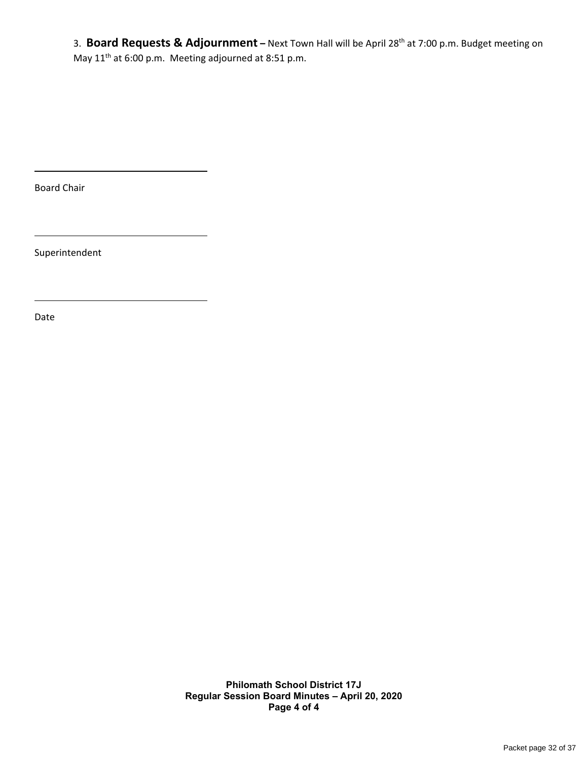3. **Board Requests & Adjournment –** Next Town Hall will be April 28th at 7:00 p.m. Budget meeting on May 11<sup>th</sup> at 6:00 p.m. Meeting adjourned at 8:51 p.m.

Board Chair

Superintendent

Date

**Philomath School District 17J Regular Session Board Minutes – April 20, 2020 Page 4 of 4**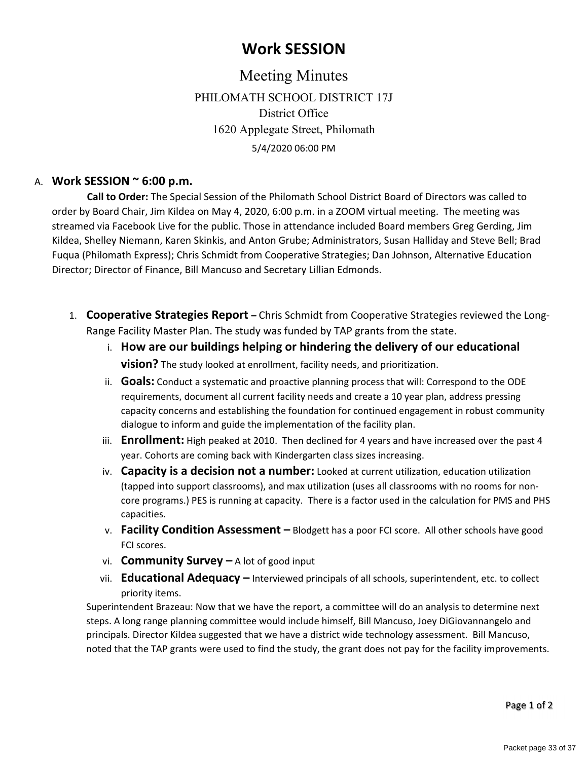# **Work SESSION**

Meeting Minutes PHILOMATH SCHOOL DISTRICT 17J District Office 1620 Applegate Street, Philomath 5/4/2020 06:00 PM

### A. **Work SESSION ~ 6:00 p.m.**

 **Call to Order:** The Special Session of the Philomath School District Board of Directors was called to order by Board Chair, Jim Kildea on May 4, 2020, 6:00 p.m. in a ZOOM virtual meeting. The meeting was streamed via Facebook Live for the public. Those in attendance included Board members Greg Gerding, Jim Kildea, Shelley Niemann, Karen Skinkis, and Anton Grube; Administrators, Susan Halliday and Steve Bell; Brad Fuqua (Philomath Express); Chris Schmidt from Cooperative Strategies; Dan Johnson, Alternative Education Director; Director of Finance, Bill Mancuso and Secretary Lillian Edmonds.

- 1. **Cooperative Strategies Report –** Chris Schmidt from Cooperative Strategies reviewed the Long‐ Range Facility Master Plan. The study was funded by TAP grants from the state.
	- i. **How are our buildings helping or hindering the delivery of our educational vision?** The study looked at enrollment, facility needs, and prioritization.
	- ii. **Goals:** Conduct a systematic and proactive planning process that will: Correspond to the ODE requirements, document all current facility needs and create a 10 year plan, address pressing capacity concerns and establishing the foundation for continued engagement in robust community dialogue to inform and guide the implementation of the facility plan.
	- iii. **Enrollment:** High peaked at 2010. Then declined for 4 years and have increased over the past 4 year. Cohorts are coming back with Kindergarten class sizes increasing.
	- iv. **Capacity is a decision not a number:** Looked at current utilization, education utilization (tapped into support classrooms), and max utilization (uses all classrooms with no rooms for non‐ core programs.) PES is running at capacity. There is a factor used in the calculation for PMS and PHS capacities.
	- v. **Facility Condition Assessment –** Blodgett has a poor FCI score. All other schools have good FCI scores.
	- vi. **Community Survey –** A lot of good input
	- vii. **Educational Adequacy –** Interviewed principals of all schools, superintendent, etc. to collect priority items.

Superintendent Brazeau: Now that we have the report, a committee will do an analysis to determine next steps. A long range planning committee would include himself, Bill Mancuso, Joey DiGiovannangelo and principals. Director Kildea suggested that we have a district wide technology assessment. Bill Mancuso, noted that the TAP grants were used to find the study, the grant does not pay for the facility improvements.

Page 1 of 2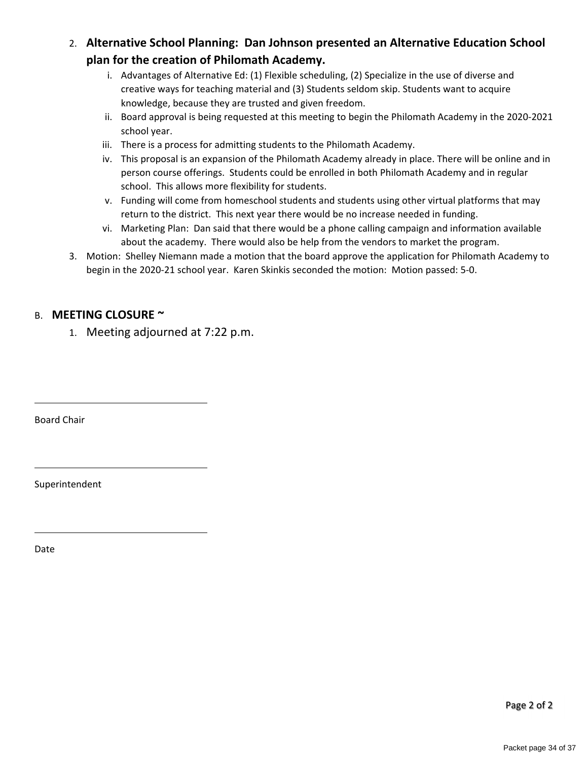2. **Alternative School Planning: Dan Johnson presented an Alternative Education School plan for the creation of Philomath Academy.**

- i. Advantages of Alternative Ed: (1) Flexible scheduling, (2) Specialize in the use of diverse and creative ways for teaching material and (3) Students seldom skip. Students want to acquire knowledge, because they are trusted and given freedom.
- ii. Board approval is being requested at this meeting to begin the Philomath Academy in the 2020‐2021 school year.
- iii. There is a process for admitting students to the Philomath Academy.
- iv. This proposal is an expansion of the Philomath Academy already in place. There will be online and in person course offerings. Students could be enrolled in both Philomath Academy and in regular school. This allows more flexibility for students.
- v. Funding will come from homeschool students and students using other virtual platforms that may return to the district. This next year there would be no increase needed in funding.
- vi. Marketing Plan: Dan said that there would be a phone calling campaign and information available about the academy. There would also be help from the vendors to market the program.
- 3. Motion: Shelley Niemann made a motion that the board approve the application for Philomath Academy to begin in the 2020‐21 school year. Karen Skinkis seconded the motion: Motion passed: 5‐0.

### B. **MEETING CLOSURE ~**

1. Meeting adjourned at 7:22 p.m.

Board Chair

Superintendent

Date

Page 2 of 2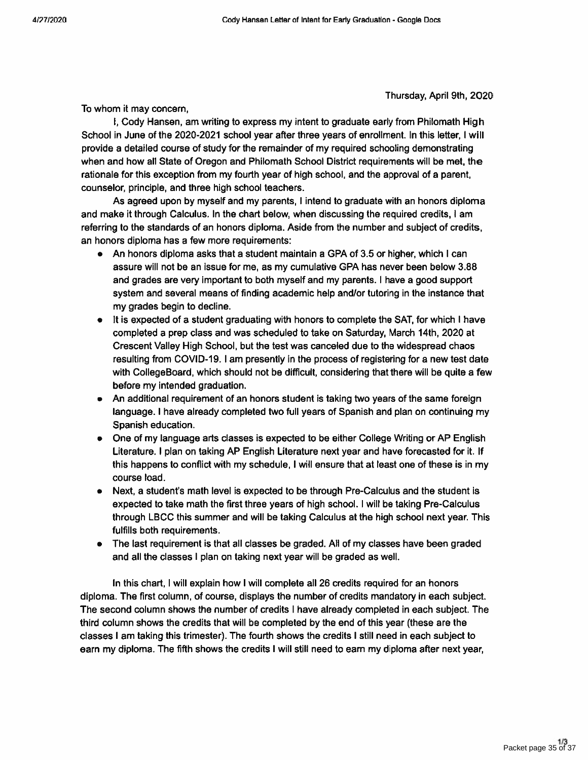Thursday, April 9th, 2020

To whom it may concern.

I, Cody Hansen, am writing to express my intent to graduate early from Philomath High School in June of the 2020-2021 school year after three years of enrollment. In this letter, I will provide a detailed course of study for the remainder of my required schooling demonstrating when and how all State of Oregon and Philomath School District requirements will be met, the rationale for this exception from my fourth year of high school, and the approval of a parent,

counselor, principle, and three high school teachers. As agreed upon by myself and my parents, I intend to graduate with an honors diploma and make it through Calculus. In the chart below, when discussing the required credits, I am referring to the standards of an honors diploma. Aside from the number and subject of credits, an honors diploma has a few more requirements:

- An honors diploma asks that a student maintain a GPA of 3.5 or higher, which I can assure will not be an issue for me, as my cumulative GPA has never been below 3.88 and grades are very important to both myself and my parents. I have a good support system and several means of finding academic help and/or tutoring in the instance that my grades begin to decline.
- It is expected of a student graduating with honors to complete the SAT, for which I have completed a prep class and was scheduled to take on Saturday, March 14th, 2020 at Crescent Valley High School, but the test was canceled due to the widespread chaos resulting from COVID-19. I am presently in the process of registering for a new test date with CollegeBoard, which should not be difficult, considering that there will be quite a few before my intended graduation.
- An additional requirement of an honors student is taking two years of the same foreign language. I have already completed two full years of Spanish and plan on continuing my Spanish education.
- One of my language arts classes is expected to be either College Writing or AP English Literature. I plan on taking AP English Literature next year and have forecasted for it. If this happens to conflict with my schedule, I will ensure that at least one of these is in my course load.
- Next, a student's math level is expected to be through Pre-Calculus and the student is expected to take math the first three years of high school. I will be taking Pre-Calculus through LBCC this summer and will be taking Calculus at the high school next year. This fulfills both requirements.
- The last requirement is that all classes be graded. All of my classes have been graded and all the classes I plan on taking next year will be graded as well.

In this chart, I will explain how I will complete all 26 credits required for an honors diploma. The first column, of course, displays the number of credits mandatory in each subject. The second column shows the number of credits I have already completed in each subject. The third column shows the credits that will be completed by the end of this year (these are the classes I am taking this trimester). The fourth shows the credits I still need in each subject to earn my diploma. The fifth shows the credits I will still need to earn my diploma after next year,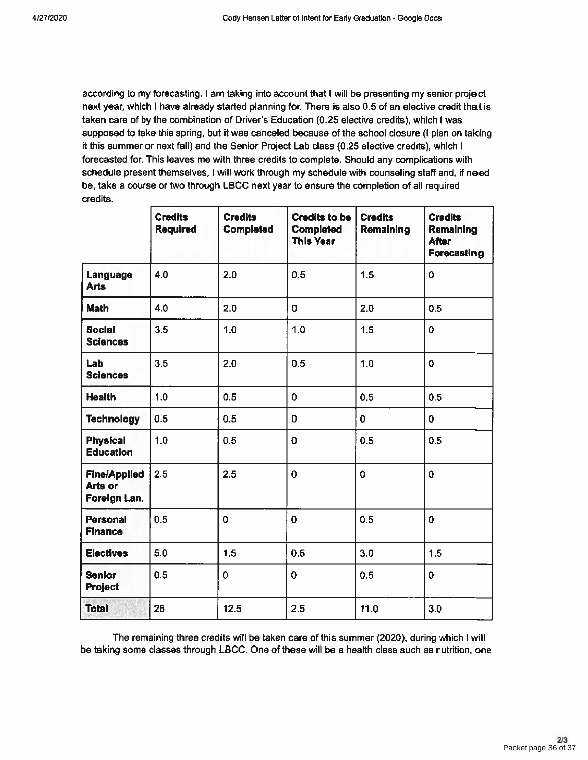according to my forecasting. I am taking into account that I will be presenting my senior project next year, which I have already started planning for. There is also 0.5 of an elective credit that is taken care of by the combination of Driver's Education (0.25 elective credits), which I was supposed to take this spring, but it was canceled because of the school closure (I plan on taking it this summer or next fall) and the Senior Project Lab class (0.25 elective credits), which I forecasted for. This leaves me with three credits to complete. Should any complications with schedule present themselves, I will work through my schedule with counseling staff and, if need be, take a course or two through LBCC next year to ensure the completion of all required credits.

|                                                       | <b>Credits</b><br><b>Required</b> | <b>Credits</b><br><b>Completed</b> | <b>Credits to be</b><br><b>Completed</b><br><b>This Year</b> | <b>Credits</b><br>Remaining | <b>Credits</b><br>Remaining<br><b>After</b><br>Forecasting |
|-------------------------------------------------------|-----------------------------------|------------------------------------|--------------------------------------------------------------|-----------------------------|------------------------------------------------------------|
| Language<br><b>Arts</b>                               | 4.0                               | 2.0                                | 0.5                                                          | 1.5                         | $\overline{0}$                                             |
| <b>Math</b>                                           | 4.0                               | 2.0                                | $\overline{0}$                                               | 2.0                         | 0.5                                                        |
| <b>Social</b><br><b>Sciences</b>                      | 3.5                               | 1.0                                | 1.0                                                          | 1.5                         | $\overline{0}$                                             |
| <b>Lab</b><br><b>Sciences</b>                         | 3.5                               | 2.0                                | 0.5                                                          | 1.0                         | $\overline{0}$                                             |
| <b>Health</b>                                         | 1.0                               | 0.5                                | $\overline{0}$                                               | 0.5                         | 0.5                                                        |
| <b>Technology</b>                                     | 0.5                               | 0.5                                | 0                                                            | $\mathbf{0}$                | $\mathbf 0$                                                |
| <b>Physical</b><br><b>Education</b>                   | 1.0                               | 0.5                                | $\overline{0}$                                               | 0.5                         | 0.5                                                        |
| <b>Fine/Applied</b><br><b>Arts or</b><br>Foreign Lan. | 2.5                               | 2.5                                | $\mathbf 0$                                                  | $\overline{0}$              | $\mathbf{0}$                                               |
| <b>Personal</b><br><b>Finance</b>                     | 0.5                               | $\mathbf 0$                        | $\overline{0}$                                               | 0.5                         | $\mathbf 0$                                                |
| <b>Electives</b>                                      | 5.0                               | 1.5                                | 0.5                                                          | 3.0                         | 1.5                                                        |
| <b>Senior</b><br><b>Project</b>                       | 0.5                               | $\overline{0}$                     | $\overline{0}$                                               | 0.5                         | $\mathbf 0$                                                |
| <b>Total</b>                                          | 26                                | 12.5                               | 2.5                                                          | 11.0                        | 3.0                                                        |

The remaining three credits will be taken care of this summer (2020), during which I will be taking some classes through LBCC. One of these will be a health class such as nutrition, one